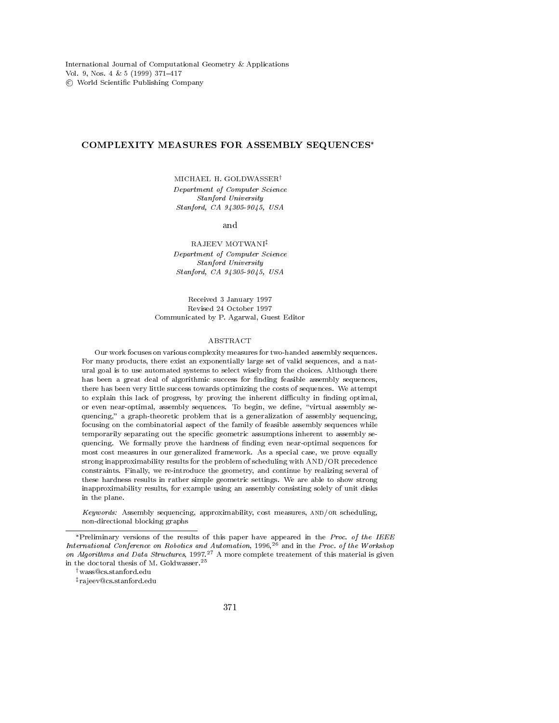## COMPLEXITY MEASURES FOR ASSEMBLY SEQUENCES

MICHAEL H. GOLDWASSER<sup>†</sup> Department of Computer Science Stanford University Stanford, CA 94305-9045, USA

and

RAJEEV MOTWANI<sup>‡</sup> Department of Computer Science Stanford University Stanford, CA 94305-9045, USA

Received 3 January 1997 Revised 24 October 1997 Communicated by P. Agarwal, Guest Editor

### **ABSTRACT**

Our work focuses on various complexity measures for two-handed assembly sequences. For many products, there exist an exponentially large set of valid sequences, and a natural goal is to use automated systems to select wisely from the choices. Although there has been a great deal of algorithmic success for finding feasible assembly sequences, there has been very little success towards optimizing the costs of sequences. We attempt to explain this lack of progress, by proving the inherent difficulty in finding optimal, or even near-optimal, assembly sequences. To begin, we define, "virtual assembly sequencing," a graph-theoretic problem that is a generalization of assembly sequencing, focusing on the combinatorial aspect of the family of feasible assembly sequences while temporarily separating out the specic geometric assumptions inherent to assembly sequencing. We formally prove the hardness of finding even near-optimal sequences for most cost measures in our generalized framework. As a special case, we prove equally strong inapproximability results for the problem of scheduling with AND/OR precedence constraints. Finally, we re-introduce the geometry, and continue by realizing several of these hardness results in rather simple geometric settings. We are able to show strong inapproximability results, for example using an assembly consisting solely of unit disks in the plane.

Keywords: Assembly sequencing, approximability, cost measures, and/or scheduling, non-directional blocking graphs

ywass@cs.stanford.edu

<sup>z</sup> ra jeev@cs.stanford.edu

<sup>\*</sup>Preliminary versions of the results of this paper have appeared in the Proc. of the IEEE International Conference on Robotics and Automation, 1996,<sup>26</sup> and in the Proc. of the Workshop on Algorithms and Data Structures,  $1997<sup>.27</sup>$  A more complete treatement of this material is given in the doctoral thesis of M. Goldwasser  $^{25}$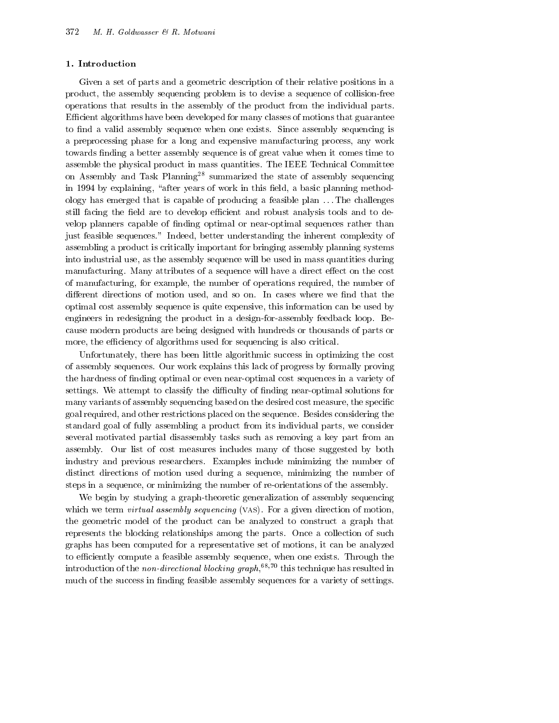### 1. Introduction

Given a set of parts and a geometric description of their relative positions in a product, the assembly sequencing problem is to devise a sequence of collision-free operations that results in the assembly of the product from the individual parts. Ecient algorithms have been developed for many classes of motions that guarantee to find a valid assembly sequence when one exists. Since assembly sequencing is a preprocessing phase for a long and expensive manufacturing process, any work towards finding a better assembly sequence is of great value when it comes time to assemble the physical product in mass quantities. The IEEE Technical Committee on Assembly and Task Planning<sup>28</sup> summarized the state of assembly sequencing in 1994 by explaining, "after years of work in this field, a basic planning methodology has emerged that is capable of producing a feasible plan . . . The challenges still facing the field are to develop efficient and robust analysis tools and to develop planners capable of nding optimal or near-optimal sequences rather than just feasible sequences." Indeed, better understanding the inherent complexity of assembling a product is critically important for bringing assembly planning systems into industrial use, as the assembly sequence will be used in mass quantities during manufacturing. Many attributes of a sequence will have a direct effect on the cost of manufacturing, for example, the number of operations required, the number of different directions of motion used, and so on. In cases where we find that the optimal cost assembly sequence is quite expensive, this information can be used by engineers in redesigning the product in a design-for-assembly feedback loop. Because modern products are being designed with hundreds or thousands of parts or more, the efficiency of algorithms used for sequencing is also critical.

Unfortunately, there has been little algorithmic success in optimizing the cost of assembly sequences. Our work explains this lack of progress by formally proving the hardness of finding optimal or even near-optimal cost sequences in a variety of settings. We attempt to classify the difficulty of finding near-optimal solutions for many variants of assembly sequencing based on the desired cost measure, the specific goal required, and other restrictions placed on the sequence. Besides considering the standard goal of fully assembling a product from its individual parts, we consider several motivated partial disassembly tasks such as removing a key part from an assembly. Our list of cost measures includes many of those suggested by both industry and previous researchers. Examples include minimizing the number of distinct directions of motion used during a sequence, minimizing the number of steps in a sequence, or minimizing the number of re-orientations of the assembly.

We begin by studying a graph-theoretic generalization of assembly sequencing which we term *virtual assembly sequencing* (VAS). For a given direction of motion, the geometric model of the product can be analyzed to construct a graph that represents the blocking relationships among the parts. Once a collection of such graphs has been computed for a representative set of motions, it can be analyzed to efficiently compute a feasible assembly sequence, when one exists. Through the introduction of the non-directional blocking graph,<sup>68,70</sup> this technique has resulted in much of the success in finding feasible assembly sequences for a variety of settings.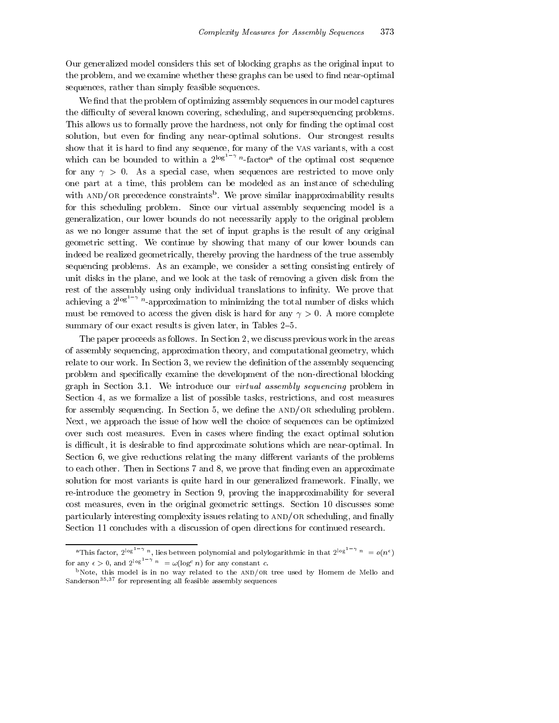Our generalized model considers this set of blocking graphs as the original input to the problem, and we examine whether these graphs can be used to find near-optimal sequences, rather than simply feasible sequences.

We find that the problem of optimizing assembly sequences in our model captures the difficulty of several known covering, scheduling, and supersequencing problems. This allows us to formally prove the hardness, not only for finding the optimal cost solution, but even for finding any near-optimal solutions. Our strongest results show that it is hard to find any sequence, for many of the VAS variants, with a cost which can be bounded to within a  $2^{\log^2 n}$ -factor<sup>a</sup> of the optimal cost sequence for any  $\gamma > 0$ . As a special case, when sequences are restricted to move only one part at a time, this problem can be modeled as an instance of scheduling with  $\text{AND}/\text{OK}$  precedence constraints". We prove similar inapproximability results for this scheduling problem. Since our virtual assembly sequencing model is a generalization, our lower bounds do not necessarily apply to the original problem as we no longer assume that the set of input graphs is the result of any original geometric setting. We continue by showing that many of our lower bounds can indeed be realized geometrically, thereby proving the hardness of the true assembly sequencing problems. As an example, we consider a setting consisting entirely of unit disks in the plane, and we look at the task of removing a given disk from the rest of the assembly using only individual translations to infinity. We prove that achieving a  $2^{\log^2}$  <sup>n</sup>-approximation to minimizing the total number of disks which must be removed to access the given disk is hard for any  $\gamma > 0$ . A more complete summary of our exact results is given later, in Tables  $2-5$ .

The paper proceeds as follows. In Section 2, we discuss previous work in the areas of assembly sequencing, approximation theory, and computational geometry, which relate to our work. In Section 3, we review the definition of the assembly sequencing problem and specically examine the development of the non-directional blocking graph in Section 3.1. We introduce our virtual assembly sequencing problem in Section 4, as we formalize a list of possible tasks, restrictions, and cost measures for assembly sequencing. In Section 5, we define the AND/OR scheduling problem. Next, we approach the issue of how well the choice of sequences can be optimized over such cost measures. Even in cases where finding the exact optimal solution is difficult, it is desirable to find approximate solutions which are near-optimal. In Section  $6$ , we give reductions relating the many different variants of the problems to each other. Then in Sections 7 and 8, we prove that finding even an approximate solution for most variants is quite hard in our generalized framework. Finally, we re-introduce the geometry in Section 9, proving the inapproximability for several cost measures, even in the original geometric settings. Section 10 discusses some particularly interesting complexity issues relating to AND/OR scheduling, and finally Section 11 concludes with a discussion of open directions for continued research.

<sup>&</sup>lt;sup>a</sup>This factor,  $2^{\log^2 n}$ , lies between polynomial and polylogarithmic in that  $2^{\log^2 n}$  =  $o(n^{\epsilon})$ for any  $\epsilon > 0$ , and  $2^{\log^{1-\gamma} n} = \omega(\log^c n)$  for any constant c.

<sup>&</sup>lt;sup>b</sup>Note, this model is in no way related to the AND/OR tree used by Homem de Mello and Sanderson<sup>35,37</sup> for representing all feasible assembly sequences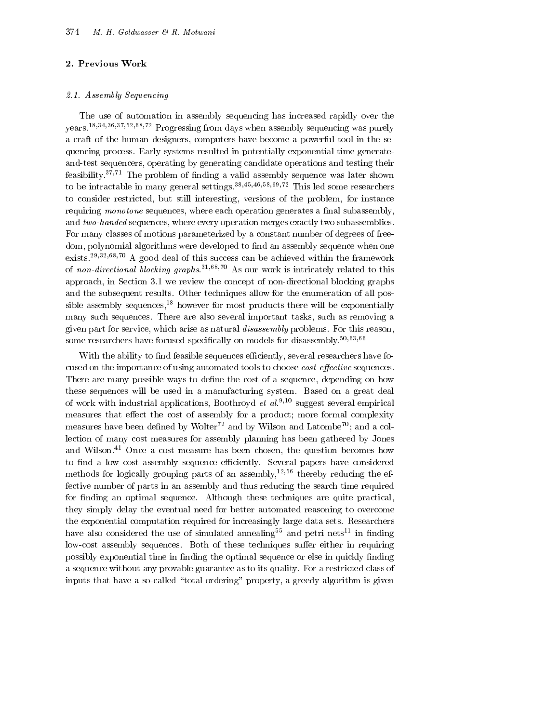## 2. Previous Work

### 2.1. Assembly Sequencing

The use of automation in assembly sequencing has increased rapidly over the years.18;34;36;37;52;68;72 Progressing from days when assembly sequencing was purely a craft of the human designers, computers have become a powerful tool in the sequencing process. Early systems resulted in potentially exponential time generateand-test sequencers, operating by generating candidate operations and testing their feasibility.<sup>37,71</sup> The problem of finding a valid assembly sequence was later shown to be intractable in many general settings.<sup>38,45,46,58,69,72</sup> This led some researchers to consider restricted, but still interesting, versions of the problem, for instance requiring monotone sequences, where each operation generates a final subassembly, and two-handed sequences, where every operation merges exactly two subassemblies. For many classes of motions parameterized by a constant number of degrees of freedom, polynomial algorithms were developed to find an assembly sequence when one exists.<sup>29,32,68,70</sup> A good deal of this success can be achieved within the framework of non-directional blocking graphs.31;68;70 As our work is intricately related to this approach, in Section 3.1 we review the concept of non-directional blocking graphs and the subsequent results. Other techniques allow for the enumeration of all possible assembly sequences,<sup>18</sup> however for most products there will be exponentially many such sequences. There are also several important tasks, such as removing a given part for service, which arise as natural disassembly problems. For this reason, some researchers have focused specifically on models for disassembly.<sup>50,63,66</sup>

With the ability to find feasible sequences efficiently, several researchers have focused on the importance of using automated tools to choose *cost-effective* sequences. There are many possible ways to define the cost of a sequence, depending on how these sequences will be used in a manufacturing system. Based on a great deal of work with industrial applications, Boothroyd *et al.*<sup>9,10</sup> suggest several empirical measures that effect the cost of assembly for a product; more formal complexity measures have been defined by Wolter<sup>72</sup> and by Wilson and Latombe<sup>70</sup>; and a collection of many cost measures for assembly planning has been gathered by Jones and Wilson.41 Once a cost measure has been chosen, the question becomes how to find a low cost assembly sequence efficiently. Several papers have considered methods for logically grouping parts of an assembly,<sup>12,56</sup> thereby reducing the effective number of parts in an assembly and thus reducing the search time required for finding an optimal sequence. Although these techniques are quite practical, they simply delay the eventual need for better automated reasoning to overcome the exponential computation required for increasingly large data sets. Researchers have also considered the use of simulated annealing<sup>55</sup> and petri nets<sup>11</sup> in finding low-cost assembly sequences. Both of these techniques suffer either in requiring possibly exponential time in finding the optimal sequence or else in quickly finding a sequence without any provable guarantee as to its quality. For a restricted class of inputs that have a so-called \total ordering" property, a greedy algorithm is given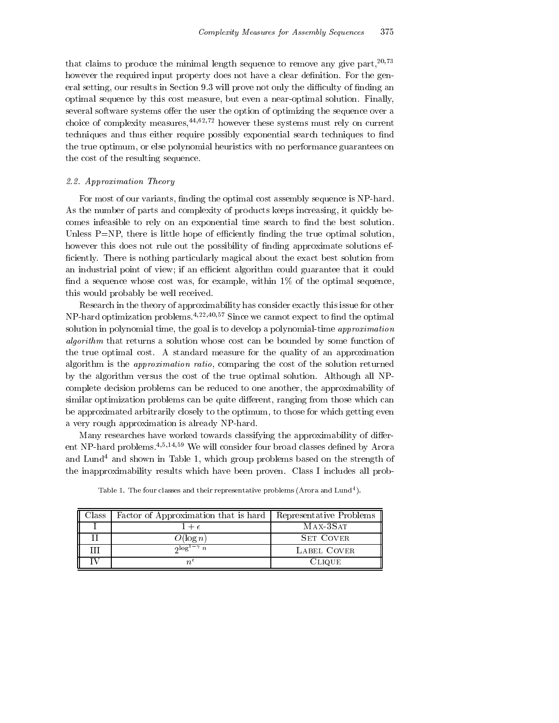that claims to produce the minimal length sequence to remove any give part,  $2^{0,73}$ however the required input property does not have a clear definition. For the general setting, our results in Section 9.3 will prove not only the difficulty of finding an optimal sequence by this cost measure, but even a near-optimal solution. Finally, several software systems offer the user the option of optimizing the sequence over a choice of complexity measures,  $44,62,72$  however these systems must rely on current techniques and thus either require possibly exponential search techniques to find the true optimum, or else polynomial heuristics with no performance guarantees on the cost of the resulting sequence.

### 2.2. Approximation Theory

For most of our variants, finding the optimal cost assembly sequence is NP-hard. As the number of parts and complexity of products keeps increasing, it quickly becomes infeasible to rely on an exponential time search to find the best solution. Unless  $P=NP$ , there is little hope of efficiently finding the true optimal solution, however this does not rule out the possibility of finding approximate solutions efficiently. There is nothing particularly magical about the exact best solution from an industrial point of view; if an efficient algorithm could guarantee that it could find a sequence whose cost was, for example, within  $1\%$  of the optimal sequence, this would probably be well received.

Research in the theory of approximability has consider exactly this issue for other  $NP$ -hard optimization problems.<sup>4,22,40,57</sup> Since we cannot expect to find the optimal solution in polynomial time, the goal is to develop a polynomial-time approximation algorithm that returns a solution whose cost can be bounded by some function of the true optimal cost. A standard measure for the quality of an approximation algorithm is the approximation ratio, comparing the cost of the solution returned by the algorithm versus the cost of the true optimal solution. Although all NPcomplete decision problems can be reduced to one another, the approximability of similar optimization problems can be quite different, ranging from those which can be approximated arbitrarily closely to the optimum, to those for which getting even a very rough approximation is already NP-hard.

Many researches have worked towards classifying the approximability of different NP-hard problems.<sup>4,5,14,59</sup> We will consider four broad classes defined by Arora and Lund<sup>4</sup> and shown in Table 1, which group problems based on the strength of the inapproximability results which have been proven. Class I includes all prob-

| $\Box$ Class | Factor of Approximation that is hard   Representative Problems |                  |
|--------------|----------------------------------------------------------------|------------------|
|              | $1+\epsilon$                                                   | $MAX-3SAT$       |
|              | $O(\log n)$                                                    | <b>SET COVER</b> |
|              | $2\log^{1-\gamma} n$                                           | LABEL COVER      |
|              |                                                                | <b>CLIQUE</b>    |

Table 1. The four classes and their representative problems (Arora and Lund<sup>4</sup> ).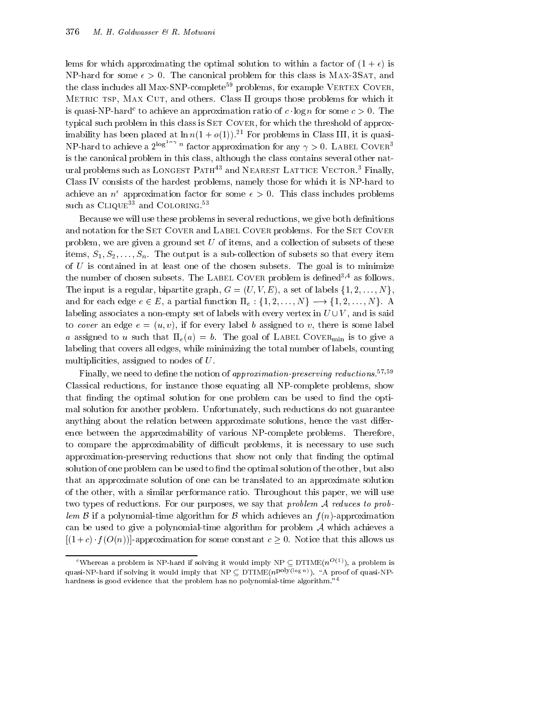lems for which approximating the optimal solution to within a factor of  $(1 + \epsilon)$  is NP-hard for some  $\epsilon > 0$ . The canonical problem for this class is MAX-3SAT, and the class includes all Max-SNP-complete<sup>59</sup> problems, for example VERTEX COVER, Metric tsp,Max Cut, and others. Class II groups those problems for which it is quasi-NP-hard<sup>c</sup> to achieve an approximation ratio of c  $\log n$  for some  $c > 0$ . The typical such problem in this class is SET COVER, for which the threshold of approximability has been placed at  $\ln n(1 + o(1))$ .<sup>21</sup> For problems in Class III, it is quasi-NP-hard to achieve a  $2^{\log^2 n}$  n factor approximation for any  $\gamma > 0$ . LABEL COVER<sup>3</sup> is the canonical problem in this class, although the class contains several other natural problems such as LONGEST PATH<sup>43</sup> and NEAREST LATTICE VECTOR.<sup>3</sup> Finally, Class IV consists of the hardest problems, namely those for which it is NP-hard to achieve an  $n^{\epsilon}$  approximation factor for some  $\epsilon > 0$ . This class includes problems such as  $\rm C_{LIQUE^{33}}$  and  $\rm COLORING.^{53}$ 

Because we will use these problems in several reductions, we give both definitions and notation for the SET COVER and LABEL COVER problems. For the SET COVER problem, we are given a ground set  $U$  of items, and a collection of subsets of these items,  $S_1, S_2, \ldots, S_n$ . The output is a sub-collection of subsets so that every item of  $U$  is contained in at least one of the chosen subsets. The goal is to minimize the number of chosen subsets. The LABEL COVER problem is defined  $3,4$  as follows. The input is a regular, bipartite graph,  $G = (U, V, E)$ , a set of labels  $\{1, 2, \ldots, N\}$ , and for each edge  $e \in E$ , a partial function  $\Pi_e : \{1, 2, \ldots, N\} \longrightarrow \{1, 2, \ldots, N\}$ . A labeling associates a non-empty set of labels with every vertex in  $U \cup V$ , and is said to cover an edge  $e = (u, v)$ , if for every label b assigned to v, there is some label a assigned to u such that  $\Pi_e(a) = b$ . The goal of LABEL COVER<sub>min</sub> is to give a labeling that covers all edges, while minimizing the total number of labels, counting multiplicities, assigned to nodes of U.

Finally, we need to define the notion of *approximation-preserving reductions*.<sup>57,59</sup> Classical reductions, for instance those equating all NP-complete problems, show that finding the optimal solution for one problem can be used to find the optimal solution for another problem. Unfortunately, such reductions do not guarantee anything about the relation between approximate solutions, hence the vast difference between the approximability of various NP-complete problems. Therefore, to compare the approximability of difficult problems, it is necessary to use such approximation-preserving reductions that show not only that finding the optimal solution of one problem can be used to find the optimal solution of the other, but also that an approximate solution of one can be translated to an approximate solution of the other, with a similar performance ratio. Throughout this paper, we will use two types of reductions. For our purposes, we say that *problem A reduces to prob*lem B if a polynomial-time algorithm for B which achieves an  $f(n)$ -approximation can be used to give a polynomial-time algorithm for problem  $A$  which achieves a  $[(1+c) \cdot f(O(n))]$ -approximation for some constant  $c \geq 0$ . Notice that this allows us

<sup>&</sup>lt;sup>c</sup>Whereas a problem is NP-hard if solving it would imply NP  $\subset$  DTIME( $n^{O(1)}$ ), a problem is quasi-NP-hard if solving it would imply that NP  $\subset$  DTIME( $n^{\text{poly}(\log n)}$ ). "A proof of quasi-NPhardness is good evidence that the problem has no polynomial-time algorithm."<sup>4</sup>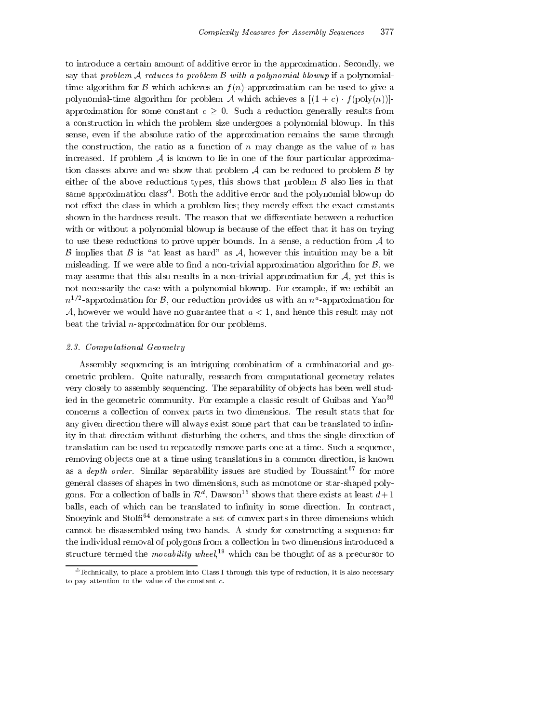to introduce a certain amount of additive error in the approximation. Secondly, we say that problem A reduces to problem B with a polynomial blowup if a polynomialtime algorithm for  $\beta$  which achieves an  $f(n)$ -approximation can be used to give a polynomial-time algorithm for problem A which achieves a  $[(1 + c) \cdot f(\text{poly}(n))]$ approximation for some constant  $c \geq 0$ . Such a reduction generally results from a construction in which the problem size undergoes a polynomial blowup. In this sense, even if the absolute ratio of the approximation remains the same through the construction, the ratio as a function of  $n$  may change as the value of  $n$  has increased. If problem  $A$  is known to lie in one of the four particular approximation classes above and we show that problem  $A$  can be reduced to problem  $B$  by either of the above reductions types, this shows that problem  $\beta$  also lies in that same approximation class". Both the additive error and the polynomial blowup do not effect the class in which a problem lies; they merely effect the exact constants shown in the hardness result. The reason that we differentiate between a reduction with or without a polynomial blowup is because of the effect that it has on trying to use these reductions to prove upper bounds. In a sense, a reduction from  $A$  to B implies that B is "at least as hard" as A, however this intuition may be a bit misleading. If we were able to find a non-trivial approximation algorithm for  $\mathcal{B}$ , we may assume that this also results in a non-trivial approximation for  $A$ , yet this is not necessarily the case with a polynomial blowup. For example, if we exhibit an  $n$ - $^{\prime}$ -approximation for  $\beta$ , our reduction provides us with an  $n$ -approximation for A, however we would have no guarantee that  $a < 1$ , and hence this result may not beat the trivial  $n$ -approximation for our problems.

### 2.3. Computational Geometry

Assembly sequencing is an intriguing combination of a combinatorial and geometric problem. Quite naturally, research from computational geometry relates very closely to assembly sequencing. The separability of objects has been well studied in the geometric community. For example a classic result of Guibas and Yao<sup>30</sup> concerns a collection of convex parts in two dimensions. The result stats that for any given direction there will always exist some part that can be translated to innity in that direction without disturbing the others, and thus the single direction of translation can be used to repeatedly remove parts one at a time. Such a sequence, removing ob jects one at a time using translations in a common direction, is known as a *depth order*. Similar separability issues are studied by Toussaint<sup>67</sup> for more general classes of shapes in two dimensions, such as monotone or star-shaped polygons. For a collection of balls in  $\mathcal{K}$  , Dawson  $^+$  shows that there exists at least  $a+1$ balls, each of which can be translated to infinity in some direction. In contract, Snoeyink and Stolfi<sup>64</sup> demonstrate a set of convex parts in three dimensions which cannot be disassembled using two hands. A study for constructing a sequence for the individual removal of polygons from a collection in two dimensions introduced a structure termed the *movability wheel*,<sup>19</sup> which can be thought of as a precursor to

dTechnically, to place a problem into Class I through this type of reduction, it is also necessary to pay attention to the value of the constant  $c$ .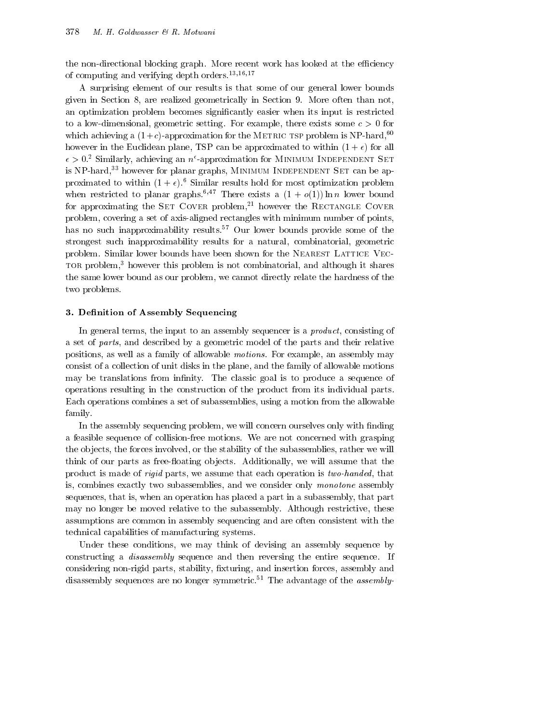the non-directional blocking graph. More recent work has looked at the efficiency of computing and verifying depth orders.13;16;17

A surprising element of our results is that some of our general lower bounds given in Section 8, are realized geometrically in Section 9. More often than not, an optimization problem becomes signicantly easier when its input is restricted to a low-dimensional, geometric setting. For example, there exists some  $c > 0$  for which achieving a  $(1+c)$ -approximation for the METRIC TSP problem is NP-hard,<sup>60</sup> however in the Euclidean plane, TSP can be approximated to within  $(1 + \epsilon)$  for all  $\epsilon > 0$  . Similarly, achieving an  $n$  -approximation for Minimum Independent Set is NP-hard,<sup>33</sup> however for planar graphs, MINIMUM INDEPENDENT SET can be approximated to within  $(1 + \epsilon)$ .<sup>6</sup> Similar results hold for most optimization problem when restricted to planar graphs.<sup>6,47</sup> There exists a  $(1 + o(1)) \ln n$  lower bound for approximating the SET COVER problem,<sup>21</sup> however the RECTANGLE COVER problem, covering a set of axis-aligned rectangles with minimum number of points, has no such inapproximability results.<sup>57</sup> Our lower bounds provide some of the strongest such inapproximability results for a natural, combinatorial, geometric problem. Similar lower bounds have been shown for the Nearest Lattice Vector problem,<sup>3</sup> however this problem is not combinatorial, and although it shares the same lower bound as our problem, we cannot directly relate the hardness of the two problems.

### 3. Definition of Assembly Sequencing

In general terms, the input to an assembly sequencer is a *product*, consisting of a set of parts, and described by a geometric model of the parts and their relative positions, as well as a family of allowable motions. For example, an assembly may consist of a collection of unit disks in the plane, and the family of allowable motions may be translations from infinity. The classic goal is to produce a sequence of operations resulting in the construction of the product from its individual parts. Each operations combines a set of subassemblies, using a motion from the allowable family.

In the assembly sequencing problem, we will concern ourselves only with finding a feasible sequence of collision-free motions. We are not concerned with grasping the ob jects, the forces involved, or the stability of the subassemblies, rather we will think of our parts as free-floating objects. Additionally, we will assume that the product is made of rigid parts, we assume that each operation is two-handed, that is, combines exactly two subassemblies, and we consider only monotone assembly sequences, that is, when an operation has placed a part in a subassembly, that part may no longer be moved relative to the subassembly. Although restrictive, these assumptions are common in assembly sequencing and are often consistent with the technical capabilities of manufacturing systems.

Under these conditions, we may think of devising an assembly sequence by constructing a disassembly sequence and then reversing the entire sequence. If considering non-rigid parts, stability, fixturing, and insertion forces, assembly and disassembly sequences are no longer symmetric.<sup>51</sup> The advantage of the *assembly*-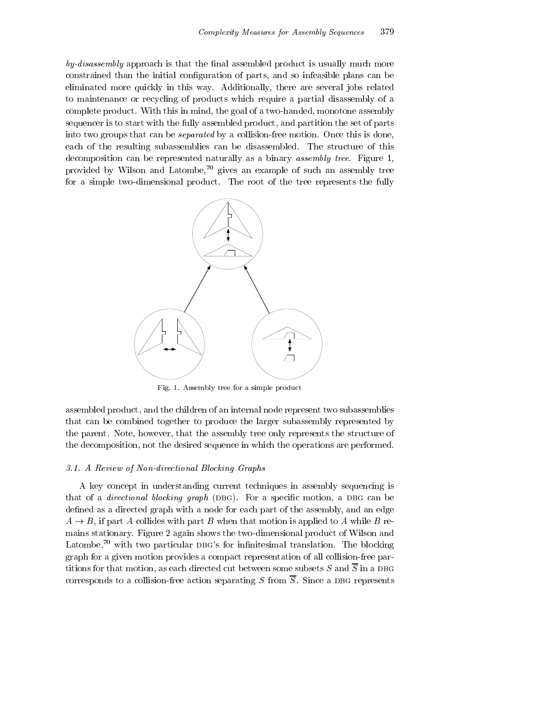$by$ -disassembly approach is that the final assembled product is usually much more constrained than the initial configuration of parts, and so infeasible plans can be eliminated more quickly in this way. Additionally, there are several jobs related to maintenance or recycling of products which require a partial disassembly of a complete product. With this in mind, the goal of a two-handed, monotone assembly sequencer is to start with the fully assembled product, and partition the set of parts into two groups that can be separated by a collision-free motion. Once this is done, each of the resulting subassemblies can be disassembled. The structure of this decomposition can be represented naturally as a binary *assembly tree*. Figure 1, provided by Wilson and Latombe,<sup>70</sup> gives an example of such an assembly tree for a simple two-dimensional product. The root of the tree represents the fully



Fig. 1. Assembly tree for a simple product

assembled product, and the children of an internal node represent two subassemblies that can be combined together to produce the larger subassembly represented by the parent. Note, however, that the assembly tree only represents the structure of the decomposition, not the desired sequence in which the operations are performed.

## 3.1. A Review of Non-directional Blocking Graphs

A key concept in understanding current techniques in assembly sequencing is that of a *directional blocking graph* (DBG). For a specific motion, a DBG can be defined as a directed graph with a node for each part of the assembly, and an edge  $A \rightarrow B$ , if part A collides with part B when that motion is applied to A while B remains stationary. Figure 2 again shows the two-dimensional product of Wilson and Latombe,<sup>70</sup> with two particular DBG's for infinitesimal translation. The blocking graph for a given motion provides a compact representation of all collision-free partitions for that motion, as each directed cut between some subsets S and  $\overline{S}$  in a DBG corresponds to a collision-free action separating S from  $\overline{S}$ . Since a DBG represents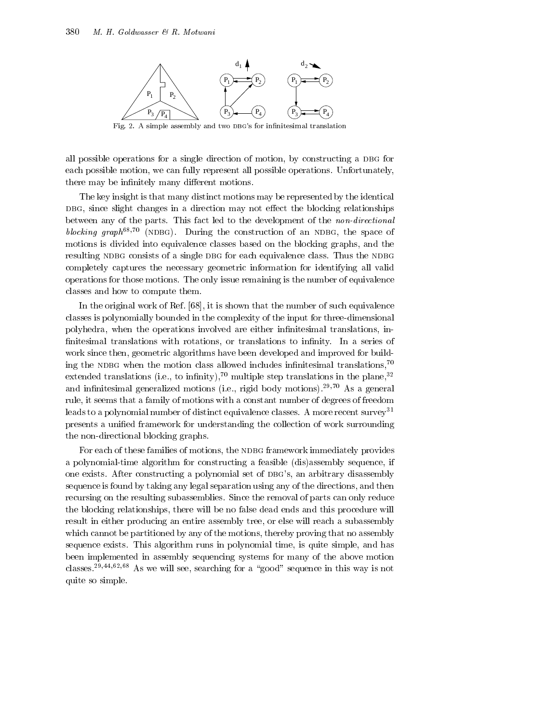

Fig. 2. A simple assembly and two DBG's for infinitesimal translation

all possible operations for a single direction of motion, by constructing a dbg for each possible motion, we can fully represent all possible operations. Unfortunately, there may be infinitely many different motions.

The key insight is that many distinct motions may be represented by the identical DBG, since slight changes in a direction may not effect the blocking relationships between any of the parts. This fact led to the development of the non-directional blocking graph<sup>68,70</sup> (NDBG). During the construction of an NDBG, the space of motions is divided into equivalence classes based on the blocking graphs, and the resulting NDBG consists of a single DBG for each equivalence class. Thus the NDBG completely captures the necessary geometric information for identifying all valid operations for those motions. The only issue remaining is the number of equivalence classes and how to compute them.

In the original work of Ref. [68], it is shown that the number of such equivalence classes is polynomially bounded in the complexity of the input for three-dimensional polyhedra, when the operations involved are either infinitesimal translations, infinitesimal translations with rotations, or translations to infinity. In a series of work since then, geometric algorithms have been developed and improved for building the NDBG when the motion class allowed includes infinitesimal translations,<sup>70</sup> extended translations (i.e., to infinity),<sup>70</sup> multiple step translations in the plane,<sup>32</sup> and infinitesimal generalized motions (i.e., rigid body motions).<sup>29,70</sup> As a general rule, it seems that a family of motions with a constant number of degrees of freedom leads to a polynomial number of distinct equivalence classes. A more recent survey<sup>31</sup> presents a unied framework for understanding the collection of work surrounding the non-directional blocking graphs.

For each of these families of motions, the NDBG framework immediately provides a polynomial-time algorithm for constructing a feasible (dis)assembly sequence, if one exists. After constructing a polynomial set of dbg's, an arbitrary disassembly sequence is found by taking any legal separation using any of the directions, and then recursing on the resulting subassemblies. Since the removal of parts can only reduce the blocking relationships, there will be no false dead ends and this procedure will result in either producing an entire assembly tree, or else will reach a subassembly which cannot be partitioned by any of the motions, thereby proving that no assembly sequence exists. This algorithm runs in polynomial time, is quite simple, and has been implemented in assembly sequencing systems for many of the above motion classes.<sup>29,44,62,68</sup> As we will see, searching for a "good" sequence in this way is not quite so simple.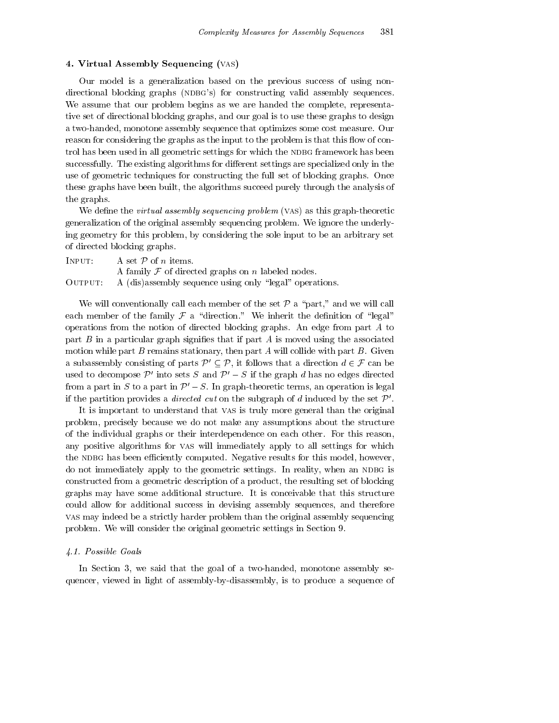## 4. Virtual Assembly Sequencing (vas)

Our model is a generalization based on the previous success of using nondirectional blocking graphs (NDBG's) for constructing valid assembly sequences. We assume that our problem begins as we are handed the complete, representative set of directional blocking graphs, and our goal is to use these graphs to design a two-handed, monotone assembly sequence that optimizes some cost measure. Our reason for considering the graphs as the input to the problem is that this flow of control has been used in all geometric settings for which the NDBG framework has been successfully. The existing algorithms for different settings are specialized only in the use of geometric techniques for constructing the full set of blocking graphs. Once these graphs have been built, the algorithms succeed purely through the analysis of the graphs.

We define the *virtual assembly sequencing problem* (VAS) as this graph-theoretic generalization of the original assembly sequencing problem. We ignore the underlying geometry for this problem, by considering the sole input to be an arbitrary set of directed blocking graphs.

Input:A set  $P$  of *n* items. A set P of n items. The property of n items. The property of n items. The property of n items. The property of A family  $\mathcal F$  of directed graphs on n labeled nodes. Output:A (dis)assembly sequence using only "legal" operations.

We will conventionally call each member of the set  $P$  a "part," and we will call each member of the family  $\mathcal F$  a "direction." We inherit the definition of "legal" operations from the notion of directed blocking graphs. An edge from part A to part  $B$  in a particular graph signifies that if part  $A$  is moved using the associated motion while part  $B$  remains stationary, then part  $A$  will collide with part  $B$ . Given a subassembly consisting of parts  $\mathcal{P}' \subseteq \mathcal{P}$ , it follows that a direction  $d \in \mathcal{F}$  can be used to decompose  $\mathcal{P}'$  into sets S and  $\mathcal{P}'-S$  if the graph d has no edges directed from a part in S to a part in  $\mathcal{P}'-S$ . In graph-theoretic terms, an operation is legal if the partition provides a *directed cut* on the subgraph of d induced by the set  $\mathcal{P}'$ .

It is important to understand that vas is truly more general than the original problem, precisely because we do not make any assumptions about the structure of the individual graphs or their interdependence on each other. For this reason, any positive algorithms for vas will immediately apply to all settings for which the NDBG has been efficiently computed. Negative results for this model, however, do not immediately apply to the geometric settings. In reality, when an NDBG is constructed from a geometric description of a product, the resulting set of blocking graphs may have some additional structure. It is conceivable that this structure could allow for additional success in devising assembly sequences, and therefore vas may indeed be a strictly harder problem than the original assembly sequencing problem. We will consider the original geometric settings in Section 9.

#### 4.1. Possible Goals

In Section 3, we said that the goal of a two-handed, monotone assembly sequencer, viewed in light of assembly-by-disassembly, is to produce a sequence of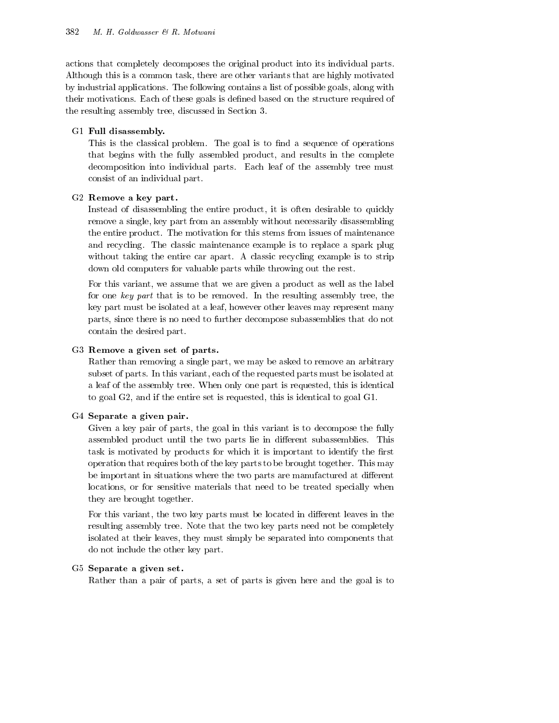actions that completely decomposes the original product into its individual parts. Although this is a common task, there are other variants that are highly motivated by industrial applications. The following contains a list of possible goals, along with their motivations. Each of these goals is dened based on the structure required of the resulting assembly tree, discussed in Section 3.

## G1 Full disassembly.

This is the classical problem. The goal is to find a sequence of operations that begins with the fully assembled product, and results in the complete decomposition into individual parts. Each leaf of the assembly tree must consist of an individual part.

## G<sub>2</sub> Remove a key part.

Instead of disassembling the entire product, it is often desirable to quickly remove a single, key part from an assembly without necessarily disassembling the entire product. The motivation for this stems from issues of maintenance and recycling. The classic maintenance example is to replace a spark plug without taking the entire car apart. A classic recycling example is to strip down old computers for valuable parts while throwing out the rest.

For this variant, we assume that we are given a product as well as the label for one key part that is to be removed. In the resulting assembly tree, the key part must be isolated at a leaf, however other leaves may represent many parts, since there is no need to further decompose subassemblies that do not contain the desired part.

## G3 Remove a given set of parts.

Rather than removing a single part, we may be asked to remove an arbitrary subset of parts. In this variant, each of the requested parts must be isolated at a leaf of the assembly tree. When only one part is requested, this is identical to goal G2, and if the entire set is requested, this is identical to goal G1.

## G4 Separate a given pair.

Given a key pair of parts, the goal in this variant is to decompose the fully assembled product until the two parts lie in different subassemblies. This task is motivated by products for which it is important to identify the first operation that requires both of the key parts to be brought together. This may be important in situations where the two parts are manufactured at different locations, or for sensitive materials that need to be treated specially when they are brought together.

For this variant, the two key parts must be located in different leaves in the resulting assembly tree. Note that the two key parts need not be completely isolated at their leaves, they must simply be separated into components that do not include the other key part.

## G5 Separate a given set.

Rather than a pair of parts, a set of parts is given here and the goal is to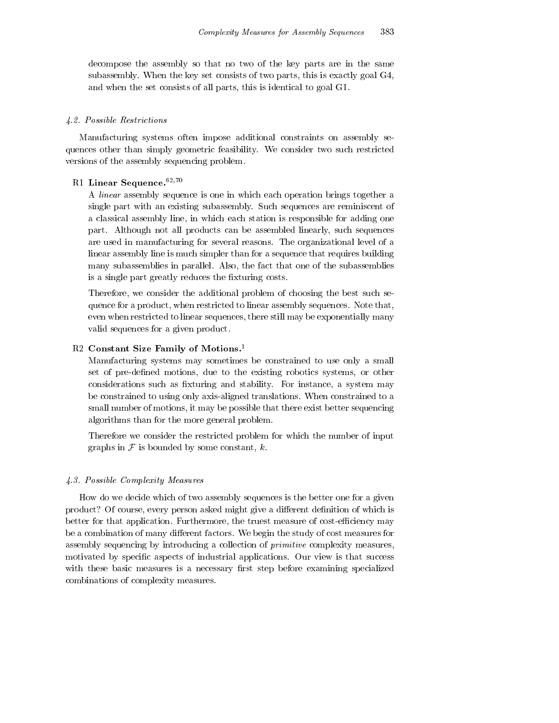decompose the assembly so that no two of the key parts are in the same subassembly. When the key set consists of two parts, this is exactly goal G4, and when the set consists of all parts, this is identical to goal G1.

### 4.2. Possible Restrictions

Manufacturing systems often impose additional constraints on assembly sequences other than simply geometric feasibility. We consider two such restricted versions of the assembly sequencing problem.

## R1 Linear Sequence.62;70

A linear assembly sequence is one in which each operation brings together a single part with an existing subassembly. Such sequences are reminiscent of a classical assembly line, in which each station is responsible for adding one part. Although not all products can be assembled linearly, such sequences are used in manufacturing for several reasons. The organizational level of a linear assembly line is much simpler than for a sequence that requires building many subassemblies in parallel. Also, the fact that one of the subassemblies is a single part greatly reduces the fixturing costs.

Therefore, we consider the additional problem of choosing the best such sequence for a product, when restricted to linear assembly sequences. Note that, even when restricted to linear sequences, there still may be exponentially many valid sequences for a given product.

### R<sub>2</sub> Constant Size Family of Motions.<sup>1</sup>

Manufacturing systems may sometimes be constrained to use only a small set of pre-defined motions, due to the existing robotics systems, or other considerations such as fixturing and stability. For instance, a system may be constrained to using only axis-aligned translations. When constrained to a small number of motions, it may be possible that there exist better sequencing algorithms than for the more general problem.

Therefore we consider the restricted problem for which the number of input graphs in  $\mathcal F$  is bounded by some constant,  $k$ .

### 4.3. Possible Complexity Measures

How do we decide which of two assembly sequences is the better one for a given product? Of course, every person asked might give a different definition of which is better for that application. Furthermore, the truest measure of cost-efficiency may be a combination of many different factors. We begin the study of cost measures for assembly sequencing by introducing a collection of primitive complexity measures, motivated by specic aspects of industrial applications. Our view is that success with these basic measures is a necessary first step before examining specialized combinations of complexity measures.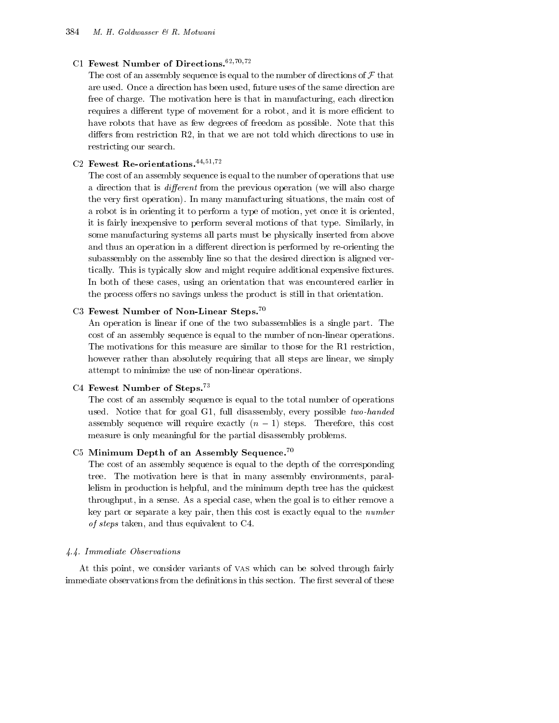## C1 Fewest Number of Directions.  $62,70,72$

The cost of an assembly sequence is equal to the number of directions of  $\mathcal F$  that are used. Once a direction has been used, future uses of the same direction are free of charge. The motivation here is that in manufacturing, each direction requires a different type of movement for a robot, and it is more efficient to have robots that have as few degrees of freedom as possible. Note that this differs from restriction  $R2$ , in that we are not told which directions to use in restricting our search.

# C2 Fewest Re-orientations.<sup>44,51,72</sup>

The cost of an assembly sequence is equal to the number of operations that use a direction that is *different* from the previous operation (we will also charge the very first operation). In many manufacturing situations, the main cost of a robot is in orienting it to perform a type of motion, yet once it is oriented, it is fairly inexpensive to perform several motions of that type. Similarly, in some manufacturing systems all parts must be physically inserted from above and thus an operation in a different direction is performed by re-orienting the subassembly on the assembly line so that the desired direction is aligned vertically. This is typically slow and might require additional expensive fixtures. In both of these cases, using an orientation that was encountered earlier in the process offers no savings unless the product is still in that orientation.

# C3 Fewest Number of Non-Linear Steps.<sup>70</sup>

An operation is linear if one of the two subassemblies is a single part. The cost of an assembly sequence is equal to the number of non-linear operations. The motivations for this measure are similar to those for the R1 restriction, however rather than absolutely requiring that all steps are linear, we simply attempt to minimize the use of non-linear operations.

## C4 Fewest Number of Steps.<sup>73</sup>

The cost of an assembly sequence is equal to the total number of operations used. Notice that for goal G1, full disassembly, every possible two-handed assembly sequence will require exactly  $(n - 1)$  steps. Therefore, this cost measure is only meaningful for the partial disassembly problems.

# C5 Minimum Depth of an Assembly Sequence.<sup>70</sup>

The cost of an assembly sequence is equal to the depth of the corresponding tree. The motivation here is that in many assembly environments, parallelism in production is helpful, and the minimum depth tree has the quickest throughput, in a sense. As a special case, when the goal is to either remove a key part or separate a key pair, then this cost is exactly equal to the number of steps taken, and thus equivalent to C4.

### 4.4. Immediate Observations

At this point, we consider variants of vas which can be solved through fairly immediate observations from the definitions in this section. The first several of these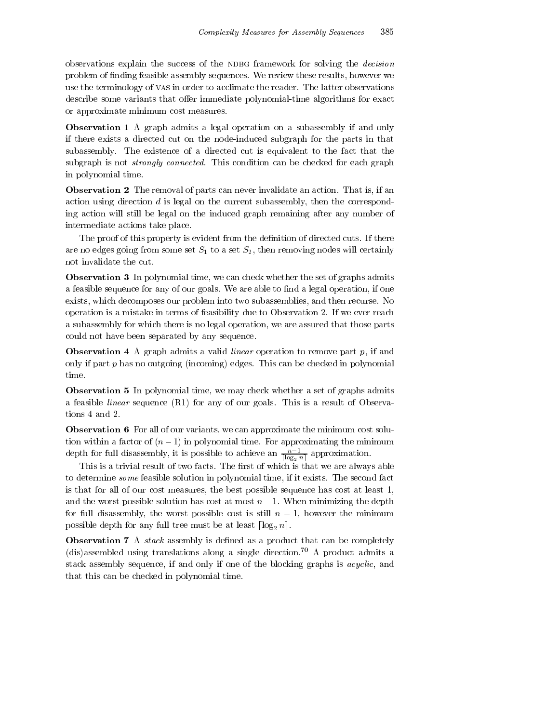observations explain the success of the NDBG framework for solving the *decision* problem of finding feasible assembly sequences. We review these results, however we use the terminology of vas in order to acclimate the reader. The latter observations describe some variants that offer immediate polynomial-time algorithms for exact or approximate minimum cost measures.

Observation 1 A graph admits a legal operation on a subassembly if and only if there exists a directed cut on the node-induced subgraph for the parts in that subassembly. The existence of a directed cut is equivalent to the fact that the subgraph is not *strongly connected*. This condition can be checked for each graph in polynomial time.

Observation 2 The removal of parts can never invalidate an action. That is, if an action using direction  $d$  is legal on the current subassembly, then the corresponding action will still be legal on the induced graph remaining after any number of intermediate actions take place.

The proof of this property is evident from the definition of directed cuts. If there are no edges going from some set S1 to a set S2, then removing nodes will certainly not invalidate the cut.

Observation 3 In polynomial time, we can check whether the set of graphs admits a feasible sequence for any of our goals. We are able to find a legal operation, if one exists, which decomposes our problem into two subassemblies, and then recurse. No operation is a mistake in terms of feasibility due to Observation 2. If we ever reach a subassembly for which there is no legal operation, we are assured that those parts could not have been separated by any sequence.

**Observation 4** A graph admits a valid *linear* operation to remove part  $p$ , if and only if part  $p$  has no outgoing (incoming) edges. This can be checked in polynomial time.

Observation 5 In polynomial time, we may check whether a set of graphs admits a feasible linear sequence (R1) for any of our goals. This is a result of Observations 4 and 2.

Observation 6 For all of our variants, we can approximate the minimum cost solution within a factor of  $(n - 1)$  in polynomial time. For approximating the minimum depth for full disassembly, it is possible to achieve an  $\frac{\overline{\text{log}_{2} n}}{\overline{\text{log}_{2} n}}$  approximation.

This is a trivial result of two facts. The first of which is that we are always able to determine some feasible solution in polynomial time, if it exists. The second fact is that for all of our cost measures, the best possible sequence has cost at least 1, and the worst possible solution has cost at most  $n-1$ . When minimizing the depth for full disassembly, the worst possible cost is still  $n-1$ , however the minimum  $\mathbf r$  for any full tree must be at least depth full tree must be at least  $\mathbf q$ 

Observation 7 A stack assembly is defined as a product that can be completely (dis)assembled using translations along a single direction.<sup>70</sup> A product admits a stack assembly sequence, if and only if one of the blocking graphs is acyclic, and that this can be checked in polynomial time.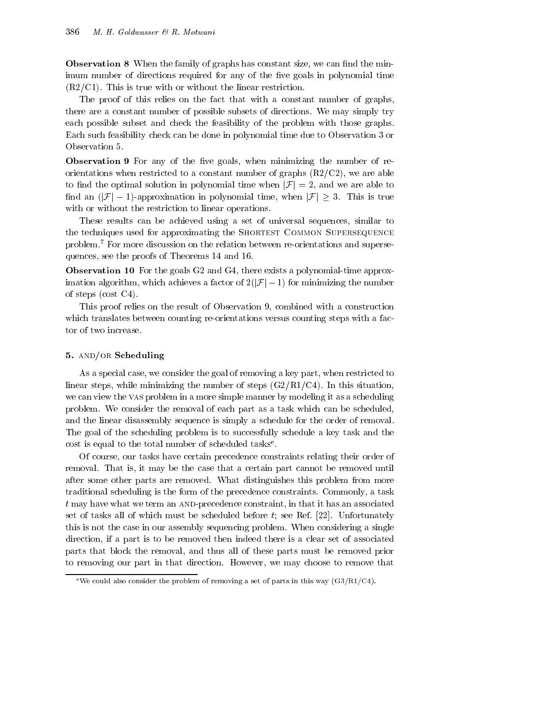**Observation 8** When the family of graphs has constant size, we can find the minimum number of directions required for any of the five goals in polynomial time (R2/C1). This is true with or without the linear restriction.

The proof of this relies on the fact that with a constant number of graphs, there are a constant number of possible subsets of directions. We may simply try each possible subset and check the feasibility of the problem with those graphs. Each such feasibility check can be done in polynomial time due to Observation 3 or Observation 5.

Observation 9 For any of the five goals, when minimizing the number of reorientations when restricted to a constant number of graphs  $(R2/C2)$ , we are able to find the optimal solution in polynomial time when  $|\mathcal{F}| = 2$ , and we are able to find an  $(|\mathcal{F}| - 1)$ -approximation in polynomial time, when  $|\mathcal{F}| \geq 3$ . This is true with or without the restriction to linear operations.

These results can be achieved using a set of universal sequences, similar to the techniques used for approximating the SHORTEST COMMON SUPERSEQUENCE problem.<sup>7</sup> For more discussion on the relation between re-orientations and supersequences, see the proofs of Theorems 14 and 16.

Observation 10 For the goals G2 and G4, there exists a polynomial-time approximation algorithm, which achieves a factor of  $2(|\mathcal{F}| - 1)$  for minimizing the number of steps (cost C4).

This proof relies on the result of Observation 9, combined with a construction which translates between counting re-orientations versus counting steps with a factor of two increase.

### 5. AND/OR Scheduling

As a special case, we consider the goal of removing a key part, when restricted to linear steps, while minimizing the number of steps  $(G2/R1/C4)$ . In this situation, we can view the vas problem in a more simple manner by modeling it as a scheduling problem. We consider the removal of each part as a task which can be scheduled, and the linear disassembly sequence is simply a schedule for the order of removal. The goal of the scheduling problem is to successfully schedule a key task and the cost is equal to the total number of scheduled taskse

Of course, our tasks have certain precedence constraints relating their order of removal. That is, it may be the case that a certain part cannot be removed until after some other parts are removed. What distinguishes this problem from more traditional scheduling is the form of the precedence constraints. Commonly, a task t may have what we term an AND-precedence constraint, in that it has an associated set of tasks all of which must be scheduled before  $t$ ; see Ref. [22]. Unfortunately this is not the case in our assembly sequencing problem. When considering a single direction, if a part is to be removed then indeed there is a clear set of associated parts that block the removal, and thus all of these parts must be removed prior to removing our part in that direction. However, we may choose to remove that

<sup>&</sup>lt;sup>e</sup>We could also consider the problem of removing a set of parts in this way  $(G3/R1/C4)$ .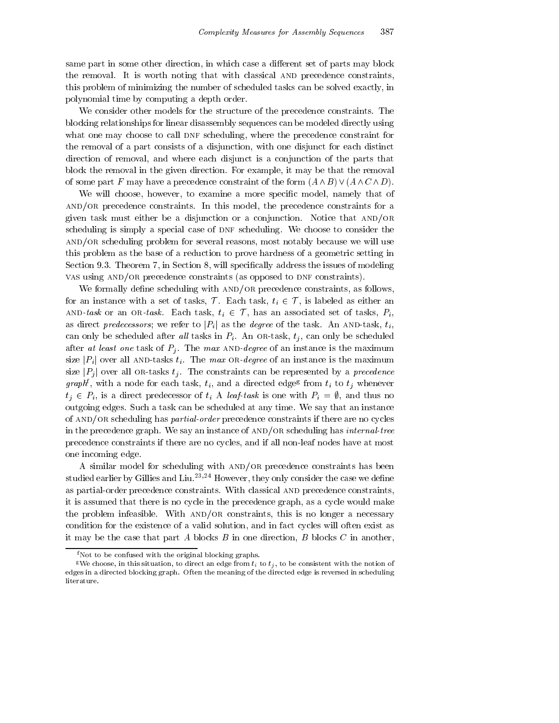same part in some other direction, in which case a different set of parts may block the removal. It is worth noting that with classical AND precedence constraints, this problem of minimizing the number of scheduled tasks can be solved exactly, in polynomial time by computing a depth order.

We consider other models for the structure of the precedence constraints. The blocking relationships for linear disassembly sequences can be modeled directly using what one may choose to call DNF scheduling, where the precedence constraint for the removal of a part consists of a disjunction, with one disjunct for each distinct direction of removal, and where each disjunct is a conjunction of the parts that block the removal in the given direction. For example, it may be that the removal of some part F may have a precedence constraint of the form  $(A \wedge B) \vee (A \wedge C \wedge D)$ .

We will choose, however, to examine a more specific model, namely that of and precedence constraints. In this model, the precedence constraints for a series for a series for a series f given task must either be a disjunction or a conjunction. Notice that  $AND/OR$ scheduling is simply a special case of DNF scheduling. We choose to consider the and  $\rho$  signal reasons, and  $\rho$  is several reasons, most notably because  $\rho$  will use when  $\rho$ this problem as the base of a reduction to prove hardness of a geometric setting in Section 9.3. Theorem 7, in Section 8, will specifically address the issues of modeling vas using and *precedence* construction (as opposed to different construction in the construction of the construction of the construction of the construction of the construction of the construction of the construction of t

We formally define scheduling with  $AND/OR$  precedence constraints, as follows, for an instance with a set of tasks,  $\mathcal{T}$ . Each task,  $t_i \in \mathcal{T}$ , is labeled as either an AND-task or an OR-task. Each task,  $t_i \in \mathcal{T}$ , has an associated set of tasks,  $P_i$ , as direct predecessors; we refer to  $|P_i|$  as the degree of the task. An AND-task,  $t_i$ , can only be scheduled after all tasks in  $P_i$ . An OR-task,  $t_i$ , can only be scheduled after at least one task of  $P_i$ . The max AND-degree of an instance is the maximum size  $|P_i|$  over all AND-tasks  $t_i$ . The max OR-degree of an instance is the maximum size  $|P_j|$  over all OR-tasks  $t_j$ . The constraints can be represented by a *precedence* graph , with a node for each task,  $t_i$ , and a directed edges from  $t_i$  to  $t_j$  whenever  $t_i \in P_i$ , is a direct predecessor of  $t_i$  A leaf-task is one with  $P_i = \emptyset$ , and thus no outgoing edges. Such a task can be scheduled at any time. We say that an instance of AND/OR scheduling has *partial-order* precedence constraints if there are no cycles in the precedence graph. We say an instance of  $AND/OR$  scheduling has *internal-tree* precedence constraints if there are no cycles, and if all non-leaf nodes have at most one incoming edge.

A similar model for scheduling with AND/OR precedence constraints has been studied earlier by Gillies and Liu.<sup>23,24</sup> However, they only consider the case we define as partial-order precedence constraints. With classical and precedence constraints, it is assumed that there is no cycle in the precedence graph, as a cycle would make the problem infeasible. With  $AND/OR$  constraints, this is no longer a necessary condition for the existence of a valid solution, and in fact cycles will often exist as it may be the case that part  $A$  blocks  $B$  in one direction,  $B$  blocks  $C$  in another,

 $f$ Not to be confused with the original blocking graphs.

<sup>&</sup>lt;sup>g</sup>We choose, in this situation, to direct an edge from  $t_i$  to  $t_j$ , to be consistent with the notion of edges in a directed blocking graph. Often the meaning of the directed edge is reversed in scheduling literature.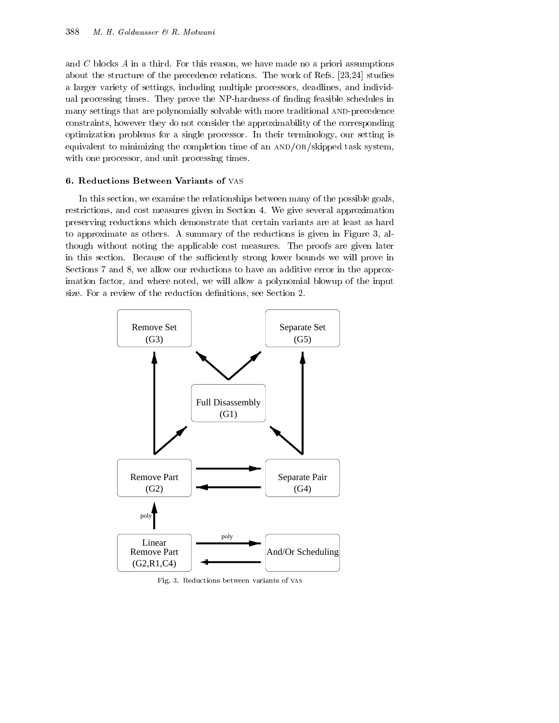and C blocks A in a third. For this reason, we have made no a priori assumptions about the structure of the precedence relations. The work of Refs. [23,24] studies a larger variety of settings, including multiple processors, deadlines, and individual processing times. They prove the NP-hardness of nding feasible schedules in many settings that are polynomially solvable with more traditional AND-precedence constraints, however they do not consider the approximability of the corresponding optimization problems for a single processor. In their terminology, our setting is equivalent to minimizing the completion time of an AND/OR/skipped task system, with one processor, and unit processing times.

## 6. Reductions Between Variants of vas

In this section, we examine the relationships between many of the possible goals, restrictions, and cost measures given in Section 4. We give several approximation preserving reductions which demonstrate that certain variants are at least as hard to approximate as others. A summary of the reductions is given in Figure 3, although without noting the applicable cost measures. The proofs are given later in this section. Because of the sufficiently strong lower bounds we will prove in Sections 7 and 8, we allow our reductions to have an additive error in the approximation factor, and where noted, we will allow a polynomial blowup of the input size. For a review of the reduction definitions, see Section 2.



Fig. 3. Reductions between variants of vas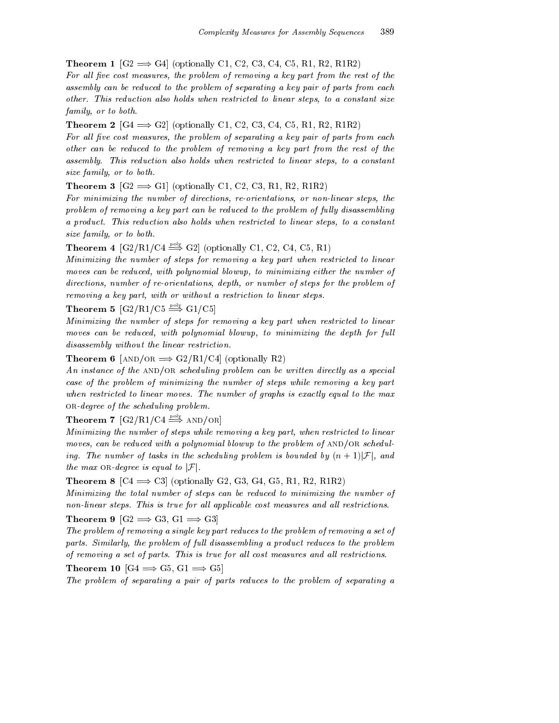**Theorem 1** [G2  $\implies$  G4] (optionally C1, C2, C3, C4, C5, R1, R2, R1R2)

For all five cost measures, the problem of removing a key part from the rest of the assembly can be reduced to the problem of separating a key pair of parts from each other. This reduction also holds when restricted to linear steps, to a constant size family, or to both.

**Theorem 2**  $[G4 \Longrightarrow G2]$  (optionally C1, C2, C3, C4, C5, R1, R2, R1R2)

For all five cost measures, the problem of separating a key pair of parts from each other can be reduced to the problem of removing a key part from the rest of the assembly. This reduction also holds when restricted to linear steps, to a constant size family, or to both.

**Theorem 3** [G2  $\implies$  G1] (optionally C1, C2, C3, R1, R2, R1R2)

For minimizing the number of directions, re-orientations, or non-linear steps, the problem of removing a key part can be reduced to the problem of fully disassembling a product. This reduction also holds when restricted to linear steps, to a constant size family, or to both.

**Theorem 4**  $[G2/R1/C4 \stackrel{\text{poly}}{\Longrightarrow} G2]$  (optionally C1, C2, C4, C5, R1)

Minimizing the number of steps for removing a key part when restricted to linear moves can be reduced, with polynomial blowup, to minimizing either the number of directions, number of re-orientations, depth, or number of steps for the problem of removing a key part, with or without a restriction to linear steps.

# Theorem 5  $[G2/R1/C5 \stackrel{\text{poly}}{\Longrightarrow} G1/C5]$

Minimizing the number of steps for removing a key part when restricted to linear moves can be reduced, with polynomial blowup, to minimizing the depth for full disassembly without the linear restriction.

**Theorem 6** [AND/OR  $\implies$  G2/R1/C4] (optionally R2)

An instance of the  $AND/OR$  scheduling problem can be written directly as a special case of the problem of minimizing the number of steps while removing a key part when restricted to linear moves. The number of graphs is exactly equal to the max or-degree of the scheduling problem.

**Theorem 7**  $[G2/R1/C4 \stackrel{\text{poly}}{\Longrightarrow} AND/OR]$ 

Minimizing the number of steps while removing a key part, when restricted to linear moves, can be reduced with a polynomial blowup to the problem of  $AND/OR$  scheduling. The number of tasks in the scheduling problem is bounded by  $(n + 1)|\mathcal{F}|$ , and the max OR-degree is equal to  $|\mathcal{F}|$ .

**Theorem 8**  $\left[\text{C4} \implies \text{C3}\right]$  (optionally G2, G3, G4, G5, R1, R2, R1R2)

Minimizing the total number of steps can be reduced to minimizing the number of non-linear steps. This is true for all applicable cost measures and all restrictions.

Theorem 9 [G2  $\Longrightarrow$  G3, G1  $\Longrightarrow$  G3]

The problem of removing a single key part reduces to the problem of removing a set of parts. Similarly, the problem of full disassembling a product reduces to the problem of removing a set of parts. This is true for all cost measures and all restrictions.

Theorem 10  $[G4 \implies G5, G1 \implies G5]$ 

The problem of separating a pair of parts reduces to the problem of separating a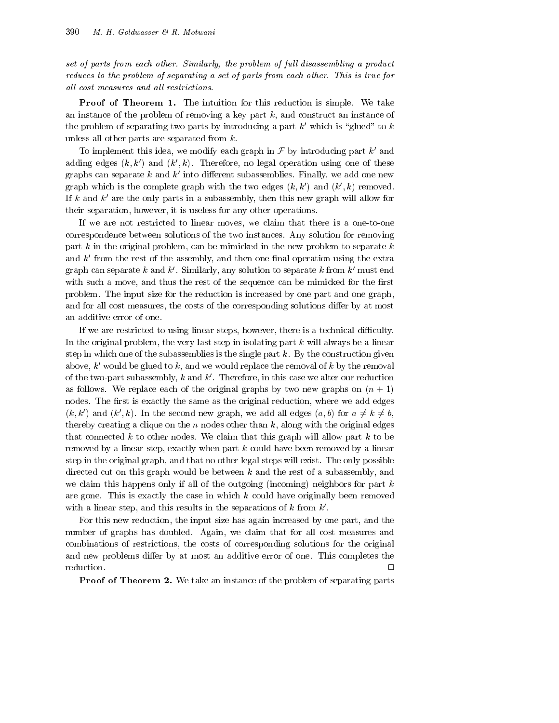set of parts from each other. Similarly, the problem of full disassembling a product reduces to the problem of separating a set of parts from each other. This is true for all cost measures and all restrictions.

**Proof of Theorem 1.** The intuition for this reduction is simple. We take an instance of the problem of removing a key part  $k$ , and construct an instance of the problem of separating two parts by introducing a part  $k'$  which is "glued" to k unless all other parts are separated from  $k$ .

To implement this idea, we modify each graph in  $\mathcal F$  by introducing part  $k'$  and adding edges  $(k, k')$  and  $(k', k)$ . Therefore, no legal operation using one of these graphs can separate k and  $k'$  into different subassemblies. Finally, we add one new graph which is the complete graph with the two edges  $(k, k')$  and  $(k', k)$  removed. If k and  $k'$  are the only parts in a subassembly, then this new graph will allow for their separation, however, it is useless for any other operations.

If we are not restricted to linear moves, we claim that there is a one-to-one correspondence between solutions of the two instances. Any solution for removing part  $k$  in the original problem, can be mimicked in the new problem to separate  $k$ and  $k'$  from the rest of the assembly, and then one final operation using the extra graph can separate k and k'. Similarly, any solution to separate k from  $k'$  must end with such a move, and thus the rest of the sequence can be mimicked for the first problem. The input size for the reduction is increased by one part and one graph, and for all cost measures, the costs of the corresponding solutions differ by at most an additive error of one.

If we are restricted to using linear steps, however, there is a technical difficulty. In the original problem, the very last step in isolating part  $k$  will always be a linear step in which one of the subassemblies is the single part  $k$ . By the construction given above,  $k'$  would be glued to k, and we would replace the removal of k by the removal of the two-part subassembly, k and  $k'$ . Therefore, in this case we alter our reduction as follows. We replace each of the original graphs by two new graphs on  $(n + 1)$ nodes. The first is exactly the same as the original reduction, where we add edges  $(k, k')$  and  $(k', k)$ . In the second new graph, we add all edges  $(a, b)$  for  $a \neq k \neq b$ , thereby creating a clique on the n nodes other than  $k$ , along with the original edges that connected  $k$  to other nodes. We claim that this graph will allow part  $k$  to be removed by a linear step, exactly when part k could have been removed by a linear step in the original graph, and that no other legal steps will exist. The only possible directed cut on this graph would be between  $k$  and the rest of a subassembly, and we claim this happens only if all of the outgoing (incoming) neighbors for part  $k$ are gone. This is exactly the case in which  $k$  could have originally been removed with a linear step, and this results in the separations of  $k$  from  $k'$ .

For this new reduction, the input size has again increased by one part, and the number of graphs has doubled. Again, we claim that for all cost measures and combinations of restrictions, the costs of corresponding solutions for the original and new problems differ by at most an additive error of one. This completes the reduction.  $\Box$ 

**Proof of Theorem 2.** We take an instance of the problem of separating parts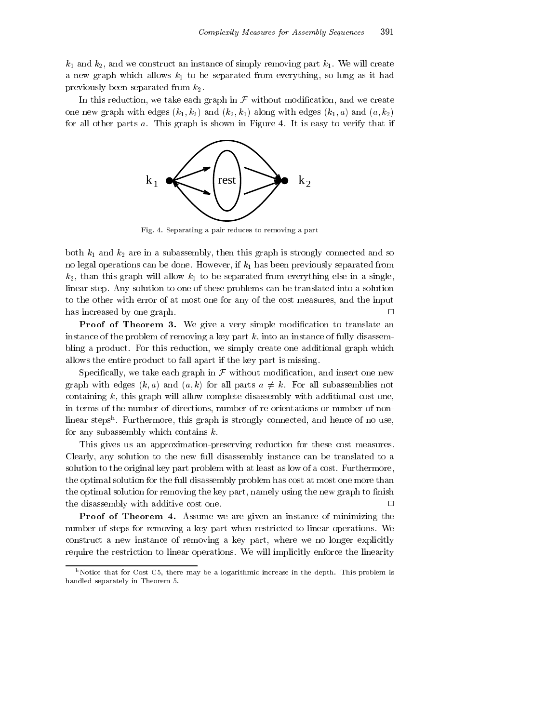ki and k2, and we construct and instance of simply removing part  $\alpha$  in  $\alpha$  . We will construct an instance a new graph which allows k1 to be separated from everything, so long as it had previously been separated from  $k_2$ .

In this reduction, we take each graph in  $\mathcal F$  without modification, and we create one new graph with edges  $(k_1, k_2)$  and  $(k_2, k_1)$  along with edges  $(k_1, a)$  and  $(a, k_2)$ for all other parts a. This graph is shown in Figure 4. It is easy to verify that if



Fig. 4. Separating a pair reduces to removing a part

both and k2 are in a subsemination in a subsemination in a subsemination of  $\alpha$ no legal operations can be done. However, if the done is the previously separated from the second k2, than this graph will allow k1 to be separated from everything else in a single, linear step. Any solution to one of these problems can be translated into a solution to the other with error of at most one for any of the cost measures, and the input has increased by one graph. <sup>2</sup>

**Proof of Theorem 3.** We give a very simple modification to translate an instance of the problem of removing a key part  $k$ , into an instance of fully disassembling a product. For this reduction, we simply create one additional graph which allows the entire product to fall apart if the key part is missing.

Specifically, we take each graph in  $\mathcal F$  without modification, and insert one new graph with edges  $(k, a)$  and  $(a, k)$  for all parts  $a \neq k$ . For all subassemblies not containing  $k$ , this graph will allow complete disassembly with additional cost one, in terms of the number of directions, number of re-orientations or number of nonlinear stepsh . Furthermore, this graph is strongly connected, and hence of no use, for any subassembly which contains  $k$ .

This gives us an approximation-preserving reduction for these cost measures. Clearly, any solution to the new full disassembly instance can be translated to a solution to the original key part problem with at least as low of a cost. Furthermore, the optimal solution for the full disassembly problem has cost at most one more than the optimal solution for removing the key part, namely using the new graph to finish the disassembly with additive cost one.  $\Box$ 

Proof of Theorem 4. Assume we are given an instance of minimizing the number of steps for removing a key part when restricted to linear operations. We construct a new instance of removing a key part, where we no longer explicitly require the restriction to linear operations. We will implicitly enforce the linearity

 $h$  Notice that for Cost C5, there may be a logarithmic increase in the depth. This problem is handled separately in Theorem 5.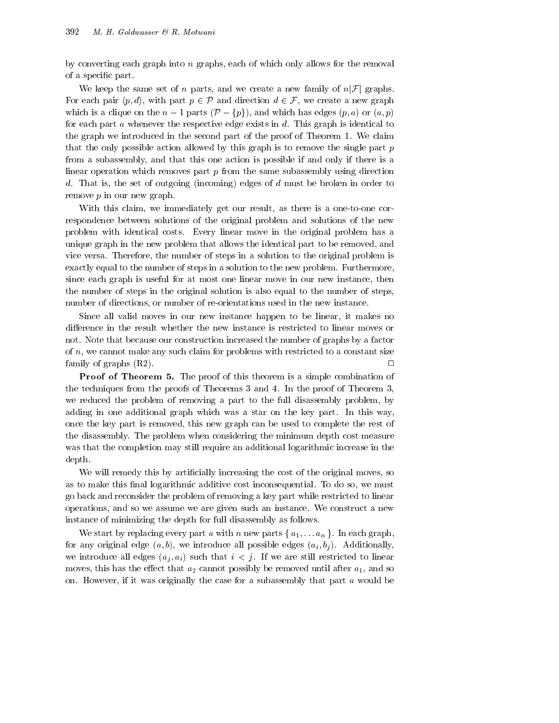by converting each graph into  $n$  graphs, each of which only allows for the removal of a specic part.

We keep the same set of n parts, and we create a new family of  $n|\mathcal{F}|$  graphs. For each pair  $\langle p, d \rangle$ , with part  $p \in \mathcal{P}$  and direction  $d \in \mathcal{F}$ , we create a new graph which is a clique on the  $n-1$  parts  $(\mathcal{P} - \{p\})$ , and which has edges  $(p, a)$  or  $(a, p)$ for each part  $a$  whenever the respective edge exists in  $d$ . This graph is identical to the graph we introduced in the second part of the proof of Theorem 1. We claim that the only possible action allowed by this graph is to remove the single part  $p$ from a subassembly, and that this one action is possible if and only if there is a linear operation which removes part  $p$  from the same subassembly using direction d. That is, the set of outgoing (incoming) edges of d must be broken in order to remove  $p$  in our new graph.

With this claim, we immediately get our result, as there is a one-to-one correspondence between solutions of the original problem and solutions of the new problem with identical costs. Every linear move in the original problem has a unique graph in the new problem that allows the identical part to be removed, and vice versa. Therefore, the number of steps in a solution to the original problem is exactly equal to the number of steps in a solution to the new problem. Furthermore, since each graph is useful for at most one linear move in our new instance, then the number of steps in the original solution is also equal to the number of steps, number of directions, or number of re-orientations used in the new instance.

Since all valid moves in our new instance happen to be linear, it makes no difference in the result whether the new instance is restricted to linear moves or not. Note that because our construction increased the number of graphs by a factor of  $n$ , we cannot make any such claim for problems with restricted to a constant size family of graphs  $(R2)$ .  $\Box$ 

Proof of Theorem 5. The proof of this theorem is a simple combination of the techniques from the proofs of Theorems 3 and 4. In the proof of Theorem 3, we reduced the problem of removing a part to the full disassembly problem, by adding in one additional graph which was a star on the key part. In this way, once the key part is removed, this new graph can be used to complete the rest of the disassembly. The problem when considering the minimum depth cost measure was that the completion may still require an additional logarithmic increase in the depth.

We will remedy this by artificially increasing the cost of the original moves, so as to make this final logarithmic additive cost inconsequential. To do so, we must go back and reconsider the problem of removing a key part while restricted to linear operations, and so we assume we are given such an instance. We construct a new instance of minimizing the depth for full disassembly as follows.

We start by replacing every part a with n new parts  $\{a_1, \ldots a_n\}$ . In each graph, for any original edge  $(a, b)$ , we introduce all possible edges  $(a_i, b_j)$ . Additionally, we introduce all edges  $(a_j, a_i)$  such that  $i < j$ . If we are still restricted to linear moves, this has the effect that a2 cannot possibly be removed until after and so  $\mathbb{I}_1$  and so  $\mathbb{I}_2$ on. However, if it was originally the case for a subassembly that part a would be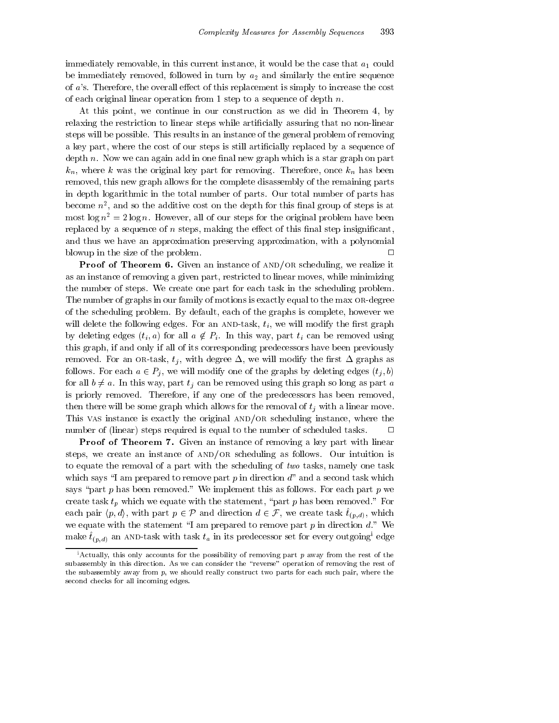immediately removable, in this current instance, it would be the case that a1 could be immediately removed, followed in turn by a2 and similarly the entire sequence of  $a$ 's. Therefore, the overall effect of this replacement is simply to increase the cost of each original linear operation from 1 step to a sequence of depth  $n$ .

At this point, we continue in our construction as we did in Theorem 4, by relaxing the restriction to linear steps while artificially assuring that no non-linear steps will be possible. This results in an instance of the general problem of removing a key part, where the cost of our steps is still artificially replaced by a sequence of depth  $n$ . Now we can again add in one final new graph which is a star graph on part  $k_n$ , where k was the original key part for removing. Therefore, once  $k_n$  has been removed, this new graph allows for the complete disassembly of the remaining parts in depth logarithmic in the total number of parts. Our total number of parts has become  $n^2$ , and so the additive cost on the depth for this mial group of steps is at most  $\log n^2 = 2 \log n$ . However, all of our steps for the original problem have been replaced by a sequence of  $n$  steps, making the effect of this final step insignificant, and thus we have an approximation preserving approximation, with a polynomial blowup in the size of the problem.  $\Box$ 

**Proof of Theorem 6.** Given an instance of AND/OR scheduling, we realize it as an instance of removing a given part, restricted to linear moves, while minimizing the number of steps. We create one part for each task in the scheduling problem. The number of graphs in our family of motions is exactly equal to the max OR-degree of the scheduling problem. By default, each of the graphs is complete, however we will delete the following edges. For an AND-task,  $t_i$ , we will modify the first graph by deleting edges  $(t_i, a)$  for all  $a \notin P_i$ . In this way, part  $t_i$  can be removed using this graph, if and only if all of its corresponding predecessors have been previously removed. For an OR-task,  $t_j$ , with degree  $\Delta$ , we will modify the first  $\Delta$  graphs as follows. For each  $a \in P_j$ , we will modify one of the graphs by deleting edges  $(t_j, b)$ for all  $b \neq a$ . In this way, part  $t_i$  can be removed using this graph so long as part a is priorly removed. Therefore, if any one of the predecessors has been removed, then there will be some graph which allows for the removal of  $t_j$  with a linear move. This vas instance is exactly the original  $AND/OR$  scheduling instance, where the number of (linear) steps required is equal to the number of scheduled tasks.  $\Box$ 

Proof of Theorem 7. Given an instance of removing a key part with linear steps, we create an instance of  $AND/OR$  scheduling as follows. Our intuition is to equate the removal of a part with the scheduling of two tasks, namely one task which says "I am prepared to remove part  $p$  in direction  $d$ " and a second task which says "part  $p$  has been removed." We implement this as follows. For each part  $p$  we create task  $t_p$  which we equate with the statement, "part p has been removed." For each pair  $\varphi, \omega_i$ , with part  $p \in \mathcal{P}$  and direction  $u \in \mathcal{P}$ , we create task  $v_{(p,d)}$ , which we equate with the statement "I am prepared to remove part  $p$  in direction  $d$ ." We make  $t_{(p,d)}$  an and-task with task  $t_a$  in its predecessor set for every outgoingi edge

 $\mathbf{i}$  Actually, this only accounts for the possibility of removing part p away from the rest of the subassembly in this direction. As we can consider the "reverse" operation of removing the rest of the subassembly away from  $p$ , we should really construct two parts for each such pair, where the second checks for all incoming edges.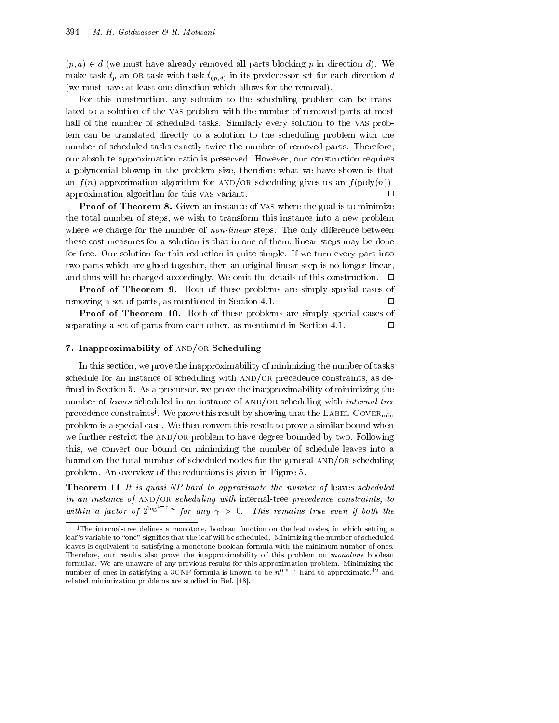$(p, a) \in d$  (we must have already removed all parts blocking p in direction d). We  $\lim_{\alpha \to \infty}$   $\lim_{\alpha \to \infty}$   $\lim_{\alpha \to \infty}$   $\lim_{\alpha \to \infty}$  in its predecessor set for each direction  $\alpha$ (we must have at least one direction which allows for the removal).

For this construction, any solution to the scheduling problem canbe translated to a solution of the vas problem with the number of removed parts at most half of the number of scheduled tasks. Similarly every solution to the vas problem can be translated directly to a solution to the scheduling problem with the number of scheduled tasks exactly twice the number of removed parts. Therefore, our absolute approximation ratio is preserved. However, our construction requires a polynomial blowup in the problem size, therefore what we have shown is that an  $f(n)$ -approximation algorithm for AND/OR scheduling gives us an  $f(poly(n))$ approximation algorithm for this VAS variant.  $\Box$ 

Proof of Theorem 8. Given an instance of VAS where the goal is to minimize the total number of steps, we wish to transform this instance into a new problem where we charge for the number of  $non-linear$  steps. The only difference between these cost measures for a solution is that in one of them, linear steps may be done for free. Our solution for this reduction is quite simple. If we turn every part into two parts which are glued together, then an original linear step is no longer linear, and thus will be charged accordingly. We omit the details of this construction.  $\Box$ 

Proof of Theorem 9. Both of these problems are simply special cases of removing a set of parts, as mentioned in Section 4.1. <sup>2</sup>  $\Box$ 

Proof of Theorem 10. Both of these problems are simply special cases of separating a set of parts from each other, as mentioned in Section 4.1.  $\Box$ 

### 7. Inapproximability of AND/OR Scheduling

In this section, we prove the inapproximability of minimizing the number of tasks schedule for an instance of scheduling with AND/OR precedence constraints, as defined in Section 5. As a precursor, we prove the inapproximability of minimizing the number of leaves scheduled in an instance of AND/OR scheduling with *internal-tree* precedence constraints<sup>j</sup>. We prove this result by showing that the LABEL COVER<sub>min</sub> problem is a special case. We then convert this result to prove a similar bound when we further restrict the AND/OR problem to have degree bounded by two. Following this, we convert our bound on minimizing the number of schedule leaves into a bound on the total number of scheduled nodes for the general AND/OR scheduling problem. An overview of the reductions is given in Figure 5.

**Theorem 11** It is quasi-NP-hard to approximate the number of leaves scheduled in an instance of  $AND/OR$  scheduling with internal-tree precedence constraints, to within a factor of  $2^{\log^2 n}$  in for any  $\gamma > 0$ . This remains true even if both the

jThe internal-tree denes a monotone, boolean function on the leaf nodes, in which setting a leaf's variable to "one" signifies that the leaf will be scheduled. Minimizing the number of scheduled leaves is equivalent to satisfying a monotone boolean formula with the minimum number of ones. Therefore, our results also prove the inapproximability of this problem on monotone boolean formulae. We are unaware of any previous results for this approximation problem. Minimizing the number of ones in satisfying a 3CNF formula is known to be  $n^{--}$  --nard to approximate,  $\cdot$  and related minimization problems are studied in Ref. [48].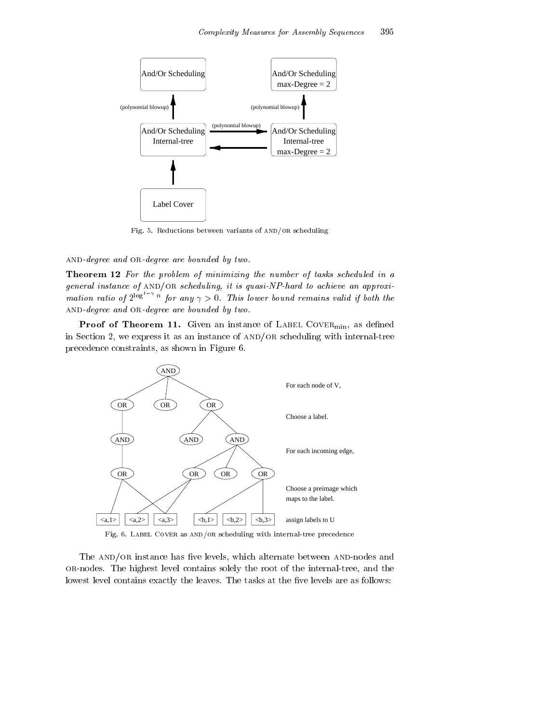

Fig. 5. Reductions between variants of AND/OR scheduling

AND-degree and OR-degree are bounded by two.

Theorem 12 For the problem of minimizing the number of tasks scheduled in a general instance of  $AND/OR$  scheduling, it is quasi-NP-hard to achieve an approximation ratio of  $2^{\log^{1-\epsilon} n}$  for any  $\gamma > 0$ . This lower bound remains valid if both the AND-degree and OR-degree are bounded by two.

**Proof of Theorem 11.** Given an instance of LABEL COVER<sub>min</sub>, as defined in Section 2, we express it as an instance of  $AND/OR$  scheduling with internal-tree precedence constraints, as shown in Figure 6.



The AND/OR instance has five levels, which alternate between AND-nodes and or-nodes. The highest level contains solely the root of the internal-tree, and the lowest level contains exactly the leaves. The tasks at the five levels are as follows: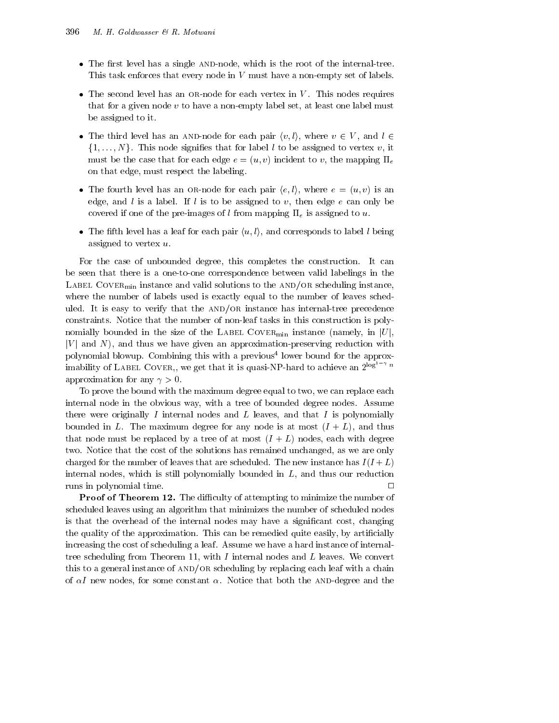- $\bullet$  The first level has a single AND-node, which is the root of the internal-tree. This task enforces that every node in  $V$  must have a non-empty set of labels.
- The second level has an OR-node for each vertex in  $V$ . This nodes requires that for a given node  $v$  to have a non-empty label set, at least one label must be assigned to it.
- The third level has an AND-node for each pair  $\langle v, l \rangle$ , where  $v \in V$ , and  $l \in$  $\{1,\ldots,N\}$ . This node signifies that for label l to be assigned to vertex v, it must be the case that for each edge  $e = (u, v)$  incident to v, the mapping  $\Pi_e$ on that edge, must respect the labeling.
- The fourth level has an OR-node for each pair  $\langle e, l \rangle$ , where  $e = (u, v)$  is an edge, and l is a label. If l is to be assigned to v, then edge e can only be covered if one of the pre-images of l from mapping  $\Pi_e$  is assigned to u.
- The fifth level has a leaf for each pair  $\langle u, l \rangle$ , and corresponds to label l being assigned to vertex u.

For the case of unbounded degree, this completes the construction. It can be seen that there is a one-to-one correspondence between valid labelings in the Label Cover<sub>min</sub> instance and valid solutions to the and/or scheduling instance, where the number of labels used is exactly equal to the number of leaves scheduled. It is easy to verify that the  $AND/OR$  instance has internal-tree precedence constraints. Notice that the number of non-leaf tasks in this construction is poly- $\min$ ally bounded in the size of the LABEL COVER<sub>min</sub> instance (namely, in  $|U|,$  $|V|$  and N), and thus we have given an approximation-preserving reduction with polynomial blowup. Combining this with a previous<sup>.</sup> lower bound for the approximability of LABEL COVER,, we get that it is quasi-NP-hard to achieve an  $2^{\log^{1-\gamma} n}$ approximation for any  $\gamma > 0$ .

To prove the bound with the maximum degree equal to two, we can replace each internal node in the obvious way, with a tree of bounded degree nodes. Assume there were originally  $I$  internal nodes and  $L$  leaves, and that  $I$  is polynomially bounded in L. The maximum degree for any node is at most  $(I + L)$ , and thus that node must be replaced by a tree of at most  $(I + L)$  nodes, each with degree two. Notice that the cost of the solutions has remained unchanged, as we are only charged for the number of leaves that are scheduled. The new instance has  $I(I+L)$ internal nodes, which is still polynomially bounded in L, and thus our reduction runs in polynomial time.

Proof of Theorem 12. The difficulty of attempting to minimize the number of scheduled leaves using an algorithm that minimizes the number of scheduled nodes is that the overhead of the internal nodes may have a signicant cost, changing the quality of the approximation. This can be remedied quite easily, by articially increasing the cost of scheduling a leaf. Assume we have a hard instance of internaltree scheduling from Theorem 11, with  $I$  internal nodes and  $L$  leaves. We convert this to a general instance of  $AND/OR$  scheduling by replacing each leaf with a chain of  $\alpha I$  new nodes, for some constant  $\alpha$ . Notice that both the AND-degree and the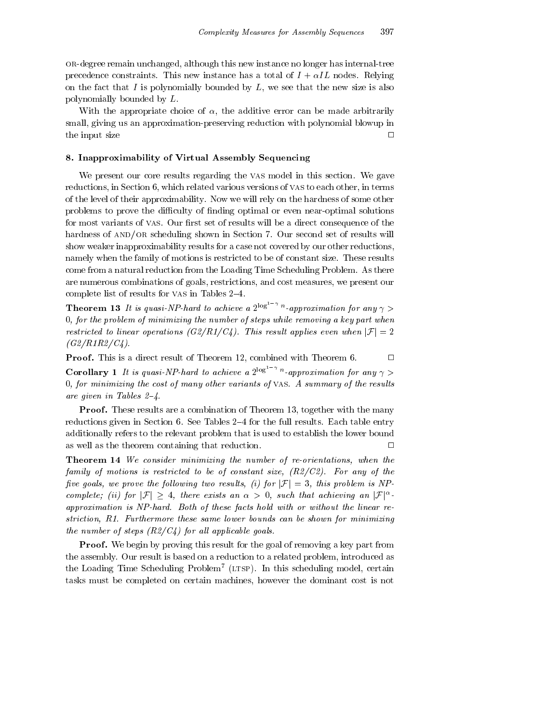or-degree remain unchanged, although this new instance no longer has internal-tree precedence constraints. This new instance has a total of  $I + \alpha IL$  nodes. Relying on the fact that  $I$  is polynomially bounded by  $L$ , we see that the new size is also polynomially bounded by L.

With the appropriate choice of  $\alpha$ , the additive error can be made arbitrarily small, giving us an approximation-preserving reduction with polynomial blowup in  $\Box$ the input size 2000 and 2000 and 2000 and 2000 and 2000 and 2000 and 2000 and 2000 and 2000 and 2000 and 2000

#### 8. Inapproximability of Virtual Assembly Sequencing

We present our core results regarding the vas model in this section. We gave reductions, in Section 6, which related various versions of vas to each other, in terms of the level of their approximability. Now we will rely on the hardness of some other problems to prove the difficulty of finding optimal or even near-optimal solutions for most variants of VAS. Our first set of results will be a direct consequence of the hardness of AND/OR scheduling shown in Section 7. Our second set of results will show weaker inapproximability results for a case not covered by our other reductions, namely when the family of motions is restricted to be of constant size. These results come from a natural reduction from the Loading Time Scheduling Problem. As there are numerous combinations of goals, restrictions, and cost measures, we present our complete list of results for vas in Tables 2{4.

**Theorem 13** It is quasi-NP-hard to achieve a  $2^{\log^2 n}$  -approximation for any  $\gamma >$ 0, for the problem of minimizing the number of steps while removing a key part when restricted to linear operations (G2/R1/C4). This result applies even when  $|\mathcal{F}| = 2$  $(G2/R1R2/C4)$ .

**Proof.** This is a direct result of Theorem 12, combined with Theorem 6.  $\Box$ 

**Corollary** 1 It is quasi-NP-hard to achieve a  $2^{\log^2 n}$  -approximation for any  $\gamma >$ 0, for minimizing the cost of many other variants of  $\vee$ AS. A summary of the results are given in Tables  $2-4$ .

**Proof.** These results are a combination of Theorem 13, together with the many reductions given in Section 6. See Tables  $2-4$  for the full results. Each table entry additionally refers to the relevant problem that is used to establish the lower bound as well as the theorem containing that reduction.  $\Box$ 

Theorem 14 We consider minimizing the number of re-orientations, when the family of motions is restricted to be of constant size,  $(R2/C2)$ . For any of the five goals, we prove the following two results, (i) for  $|\mathcal{F}| = 3$ , this problem is NPcomplete; (ii) for  $|f| > 4$ , there exists an  $\alpha > 0$ , such that achieving an  $|f|$  approximation is NP-hard. Both of these facts hold with or without the linear restriction, R1. Furthermore these same lower bounds can be shown for minimizing the number of steps  $(R2/C4)$  for all applicable goals.

**Proof.** We begin by proving this result for the goal of removing a key part from the assembly. Our result is based on a reduction to a related problem, introduced as the Loading Time Scheduling Problem<sup>3</sup> (LTSP). In this scheduling model, certain tasks must be completed on certain machines, however the dominant cost is not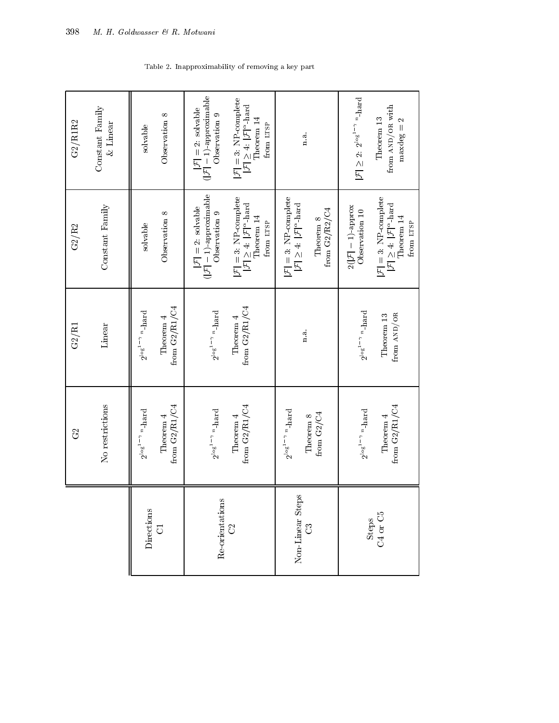| G2/RIR2        | Constant Family<br>$\&$ Linear | solvable                      | Observation 8                | $( \mathcal{F} -1)$ -approximable<br>$ \mathcal{F} =2:$ solvable<br>Observation 9    | $ \mathcal{F} =3:$ NP-complete<br>$ \mathcal{F}  \geq 4 \colon  \mathcal{F} ^\alpha\text{-hard}$<br>Theorem 14<br>from LTSP                                           | n.a.                                                                                                                                              |                              | $ \mathcal{F}  \geq 2 \colon 2^{\log^{1-\gamma} n}\text{-hard}$ | from $\mbox{\sc And} / \mbox{\sc ord}$ with<br>Theorem 13<br>$maxdeg = 2$                                                      |  |
|----------------|--------------------------------|-------------------------------|------------------------------|--------------------------------------------------------------------------------------|-----------------------------------------------------------------------------------------------------------------------------------------------------------------------|---------------------------------------------------------------------------------------------------------------------------------------------------|------------------------------|-----------------------------------------------------------------|--------------------------------------------------------------------------------------------------------------------------------|--|
| G2/R2          | Constant Family                | solvable                      | Observation 8                | $( \mathcal{F} -1)$ -approximable<br>$ \mathcal{F}  = 2$ : solvable<br>Observation 9 | $\begin{array}{ll}  \mathcal{F}  = 3;&\text{NP-complete}\\  \mathcal{F}  \geq 4;&\text{ }\! \mathcal{F} ^{\alpha}\text{-hard} \end{array}$<br>Theorem 14<br>from LTSP | $\begin{array}{l}  \mathcal{F}  = 3\colon \operatorname{NP-complete}\\  \mathcal{F}  \geq 4\colon  \mathcal{F} ^{\alpha}\text{-hard} \end{array}$ | from $G2/R2/C4$<br>Theorem 8 | $2( \mathcal{F} -1)$ -approx<br>Observation 10                  | $ \mathcal{F}  = 3$ : NP-complete $ \mathcal{F}  \geq 4$ : $ \mathcal{F} ^{\alpha}\text{-}\text{hard}$ Theorem 14<br>from LTSP |  |
| G2/R1          | Linear                         | $2^{\log^{1-\gamma}{n}}$ hard | from $G2/R1/C4$<br>Theorem 4 | $2^{\log^{1-\gamma} n}$ -hard                                                        | from $G2/R1/C4$<br>Theorem <sub>4</sub>                                                                                                                               | n.a.                                                                                                                                              |                              | $2^{\log^{1-\gamma} n}$ -hard                                   | from $AND/OR$<br>Theorem 13                                                                                                    |  |
| G <sup>2</sup> | No restrictions                | $2^{\log^{1-\gamma}{n}}$ hard | from $G2/R1/C4$<br>Theorem 4 | $2^{\log^{1-\gamma} n}$ -hard                                                        | from $G2/R1/C4$<br>Theorem <sub>4</sub>                                                                                                                               | $2^{\log^{1-\gamma}{n}}$ hard                                                                                                                     | from $G2/C4$<br>Theorem 8    | $2^{\log^{1-\gamma}{n}}$ hard                                   | from $G2/R1/C4$<br>Theorem 4                                                                                                   |  |
|                |                                | Directions                    | $\overline{C}$               | Re-orientations                                                                      | $\mathcal{O}$                                                                                                                                                         | Non-Linear Steps                                                                                                                                  | ී                            | Steps                                                           | C4 or C5                                                                                                                       |  |

## Table 2. Inapproximability of removing a key part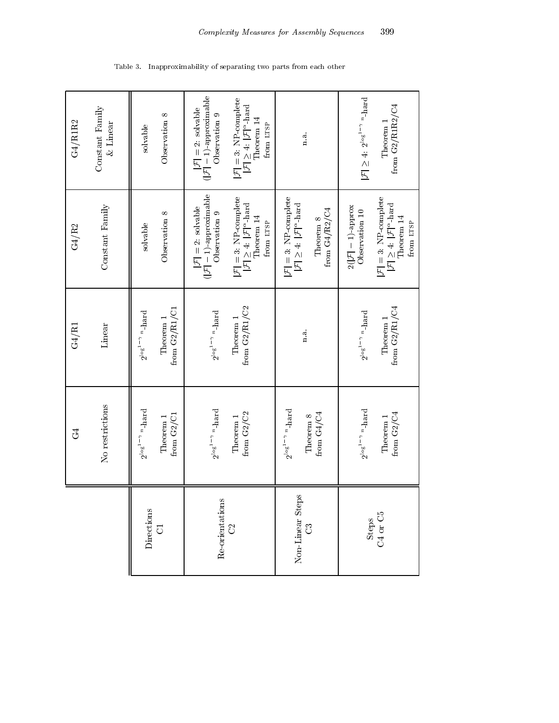| G4/RIR2        | Constant Family<br>$\&$ Linear | Observation 8<br>solvable                                       | $( \mathcal{F} -1)$ -approximable<br>$\begin{array}{l}  \mathcal{F}  = 3{:}~\mathrm{NP}\text{-complete} \\   \mathcal{F}  \geq 4{:}~  \mathcal{F} ^{\alpha}\text{-hard} \end{array}$<br>$ \mathcal{F} =2:$ solvable<br>Observation 9<br>Theorem 14<br>from LTSP        | n.a.                                                                                                                                                                              | $ \mathcal{F}  \geq 4\colon 2^{\log^{1-\gamma} n}\text{-hard}$<br>from $G2/R1R2/C4$<br>Theorem 1                                                                                                                        |  |
|----------------|--------------------------------|-----------------------------------------------------------------|------------------------------------------------------------------------------------------------------------------------------------------------------------------------------------------------------------------------------------------------------------------------|-----------------------------------------------------------------------------------------------------------------------------------------------------------------------------------|-------------------------------------------------------------------------------------------------------------------------------------------------------------------------------------------------------------------------|--|
| G4/R2          | Constant Family                | Observation 8<br>solvable                                       | $( \mathcal{F} -1)$ -approximable<br>$\begin{array}{c}  \mathcal{F}  = 3\colon \operatorname{NP-complete}\\  \mathcal{F}  \geq 4\colon  \mathcal{F} ^{\alpha}\text{-hard} \end{array}$<br>$ \mathcal{F}  = 2$ : solvable<br>Observation 9<br>Theorem 14<br>from $LTSP$ | $\begin{array}{l}  \mathcal{F}  = 3\colon \operatorname{NP-complete}\\  \mathcal{F}  \geq 4\colon  \mathcal{F} ^{\alpha}\text{-hard} \end{array}$<br>from $G4/R2/C4$<br>Theorem 8 | $\begin{array}{c}  \mathcal{F}  = 3\colon \text{NP-complete} \\  \mathcal{F}  \geq 4\colon  \mathcal{F} ^{\alpha}\text{-hard} \end{array}$<br>$2( \mathcal{F} -1)$ -approx<br>Observation 10<br>Theorem 14<br>from LTSP |  |
| G4/R1          | Linear                         | from $G2/R1/C1$<br>$2^{\log^{1-\gamma} n}$ -hard<br>Theorem $1$ | from $G2/R1/C2$<br>$2^{\log^{1-\gamma}{n}}$ -hard<br>Theorem <sub>1</sub>                                                                                                                                                                                              | n.a.                                                                                                                                                                              | from $G2/R1/C4$<br>$2^{\log^{1-\gamma}{n}}$ -hard<br>Theorem 1                                                                                                                                                          |  |
| G <sub>4</sub> | No restrictions                | $2^{\log^{1-\gamma} n}$ hard<br>from $G2/C1$<br>Theorem 1       | $2^{\log^{1-\gamma} n}$ -hard<br>from $G2/C2$<br>Theorem <sub>1</sub>                                                                                                                                                                                                  | $2^{\log^{1-\gamma} n}$ -hard<br>from $G4/C4$<br>Theorem 8                                                                                                                        | $2^{\log^{1-\gamma}{n}}$ hard<br>from $G2/C4$<br>Theorem <sub>1</sub>                                                                                                                                                   |  |
|                |                                | Directions<br>$\overline{C}$                                    | Re-orientations<br>$\mathcal{C}^2$                                                                                                                                                                                                                                     | Non-Linear Steps<br>ී                                                                                                                                                             | $C4$ or $C5$<br>Steps                                                                                                                                                                                                   |  |

Table 3. Inapproximability of separating two parts from each other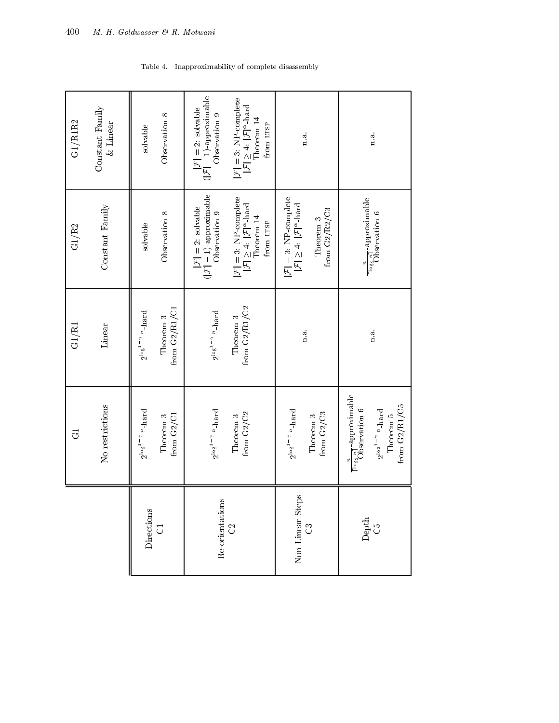| G1/RIR2<br>G1/R2 | Constant Family<br>$\&$ Linear<br>Constant Family | solvable<br>solvable          | Observation 8<br>Observation 8 | $( \mathcal{F} -1)$ -approximable<br>$ \mathcal{F} =2:$ solvable<br>Observation 9<br>$( \mathcal{F} -1)$ -approximable<br>$ \mathcal{F} =2$ solvable<br>Observation 9 | $\begin{array}{c}  \mathcal{F}  = 3{:}~\text{NP-complete}\\  \mathcal{F}  \geq 4{:}~ \mathcal{F} ^{\alpha}\text{-hard} \end{array}$<br>Theorem 14<br>from LTSP<br>$\begin{array}{c} \left  \mathcal{F}\right  =3{:}\text{ NP-complete} \\ \left  \mathcal{F}\right \geq 4{:}\right. \left  \mathcal{F}\right ^\alpha\text{-hard} \end{array}$<br>Theorem 14<br>from LTSP | n.a.<br>$ \mathcal{F}  = 3$ : NP-complete<br>$ \mathcal{F}  \geq 4$ : $ \mathcal{F} ^{\alpha}$ -hard | from $G2/R2/C3$<br>Theorem 3 |                                                                                              | n.a.<br>$\frac{n}{\lceil \log_2 n \rceil}$ -approximable<br>Observation 6 |  |
|------------------|---------------------------------------------------|-------------------------------|--------------------------------|-----------------------------------------------------------------------------------------------------------------------------------------------------------------------|--------------------------------------------------------------------------------------------------------------------------------------------------------------------------------------------------------------------------------------------------------------------------------------------------------------------------------------------------------------------------|------------------------------------------------------------------------------------------------------|------------------------------|----------------------------------------------------------------------------------------------|---------------------------------------------------------------------------|--|
| G1/R1            | Linear                                            | $2^{\log^{1-\gamma} n}$ -hard | from $G2/R1/C1$<br>Theorem 3   | $2^{\log^{1-\gamma}{n}}$ hard                                                                                                                                         | from $G2/R1/C2$<br>Theorem $3\,$                                                                                                                                                                                                                                                                                                                                         | n.a.                                                                                                 |                              |                                                                                              | n.a.                                                                      |  |
| $\overline{G}$   | No restrictions                                   | $2^{\log^{1-\gamma} n}$ hard  | from $G2/G1$<br>Theorem 3      | $2^{\log^{1-\gamma}{n}}$ hard                                                                                                                                         | from $G2/C2$<br>Theorem 3                                                                                                                                                                                                                                                                                                                                                | $2^{\log^{1-\gamma}{n}}$ hard                                                                        | from $G2/C3$<br>Theorem 3    | $\frac{n}{\lceil \log_2 n \rceil}$ -approximable<br>$\frac{0}{\lceil \log \arctan \rceil}$ 6 | from $G2/R1/C5$<br>$2^{\log^{1-\gamma}{n}}$ -hard<br>Theorem 5            |  |
|                  |                                                   | Directions                    | $\overline{\circ}$             | Re-orientations<br>$\mathcal{C}^2$                                                                                                                                    |                                                                                                                                                                                                                                                                                                                                                                          | Non-Linear Steps                                                                                     | ී                            |                                                                                              | Depth $\mathrm{C5}$                                                       |  |

Table 4. Inapproximability of complete disassembly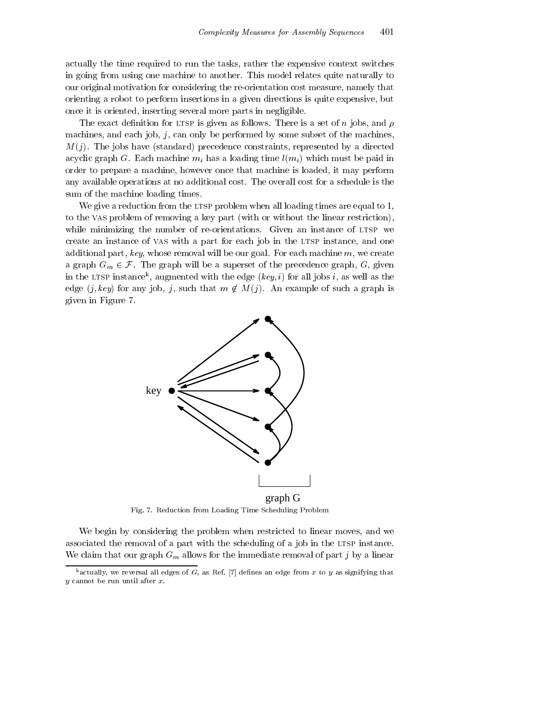actually the time required to run the tasks, rather the expensive context switches in going from using one machine to another. This model relates quite naturally to our original motivation for considering the re-orientation cost measure, namely that orienting a robot to perform insertions in a given directions is quite expensive, but once it is oriented, inserting several more parts in negligible.

The exact definition for LTSP is given as follows. There is a set of n jobs, and  $\rho$ machines, and each job,  $j$ , can only be performed by some subset of the machines,  $M(j)$ . The jobs have (standard) precedence constraints, represented by a directed acyclic graph G. Each machine  $m_i$  has a loading time  $l(m_i)$  which must be paid in order to prepare a machine, however once that machine is loaded, it may perform any available operations at no additional cost. The overall cost for a schedule is the sum of the machine loading times.

We give a reduction from the LTSP problem when all loading times are equal to  $1$ , to the vas problem of removing a key part (with or without the linear restriction), while minimizing the number of re-orientations. Given an instance of LTSP we create an instance of VAS with a part for each job in the LTSP instance, and one additional part,  $key$ , whose removal will be our goal. For each machine  $m$ , we create a graph  $G_m \in \mathcal{F}$ . The graph will be a superset of the precedence graph, G, given in the LTSP instance", augmented with the edge (key,  $i$ ) for all jobs  $i$ , as well as the interest of  $\alpha$ edge  $(j, key)$  for any job, j, such that  $m \notin M(j)$ . An example of such a graph is given in Figure 7.



Fig. 7. Reduction from Loading Time Scheduling Problem

We begin by considering the problem when restricted to linear moves, and we associated the removal of a part with the scheduling of a job in the LTSP instance. We claim that our graph  $G_m$  allows for the immediate removal of part j by a linear

<sup>&</sup>lt;sup>k</sup> actually, we reversal all edges of G, as Ref. [7] defines an edge from x to y as signifying that  $y$  cannot be run until after  $x$ .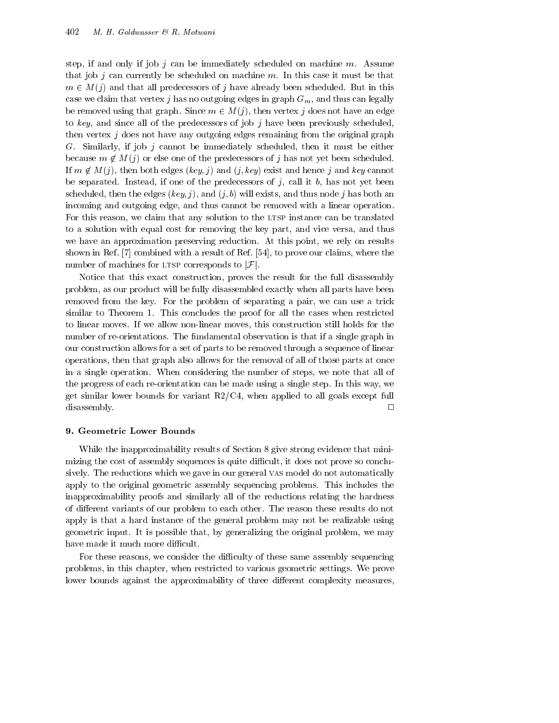step, if and only if job j can be immediately scheduled on machine  $m$ . Assume that job j can currently be scheduled on machine  $m$ . In this case it must be that  $m \in M(j)$  and that all predecessors of j have already been scheduled. But in this case we claim that vertex j has no outgoing edges in graph  $G_m$ , and thus can legally be removed using that graph. Since  $m \in M(j)$ , then vertex j does not have an edge to key, and since all of the predecessors of job  $j$  have been previously scheduled, then vertex  $j$  does not have any outgoing edges remaining from the original graph G. Similarly, if job j cannot be immediately scheduled, then it must be either because  $m \notin M(j)$  or else one of the predecessors of j has not yet been scheduled. If  $m \notin M(j)$ , then both edges (key, j) and (j, key) exist and hence j and key cannot be separated. Instead, if one of the predecessors of j, call it b, has not yet been scheduled, then the edges  $(key, j)$ , and  $(j, b)$  will exists, and thus node j has both an incoming and outgoing edge, and thus cannot be removed with a linear operation. For this reason, we claim that any solution to the LTSP instance can be translated to a solution with equal cost for removing the key part, and vice versa, and thus we have an approximation preserving reduction. At this point, we rely on results shown in Ref. [7] combined with a result of Ref. [54], to prove our claims, where the number of machines for LTSP corresponds to  $|\mathcal{F}|$ .

Notice that this exact construction, proves the result for the full disassembly problem, as our product will be fully disassembled exactly when all parts have been removed from the key. For the problem of separating a pair, we can use a trick similar to Theorem 1. This concludes the proof for all the cases when restricted to linear moves. If we allow non-linear moves, this construction still holds for the number of re-orientations. The fundamental observation is that if a single graph in our construction allows for a set of parts to be removed through a sequence of linear operations, then that graph also allows for the removal of all of those parts at once in a single operation. When considering the number of steps, we note that all of the progress of each re-orientation can be made using a single step. In this way, we get similar lower bounds for variant  $R2/C4$ , when applied to all goals except full disassembly.  $\square$ 

### 9. Geometric Lower Bounds

While the inapproximability results of Section 8 give strong evidence that minimizing the cost of assembly sequences is quite difficult, it does not prove so conclusively. The reductions which we gave in our general vas model do not automatically apply to the original geometric assembly sequencing problems. This includes the inapproximability proofs and similarly all of the reductions relating the hardness of different variants of our problem to each other. The reason these results do not apply is that a hard instance of the general problem may not be realizable using geometric input. It is possible that, by generalizing the original problem, we may have made it much more difficult.

For these reasons, we consider the difficulty of these same assembly sequencing problems, in this chapter, when restricted to various geometric settings. We prove lower bounds against the approximability of three different complexity measures,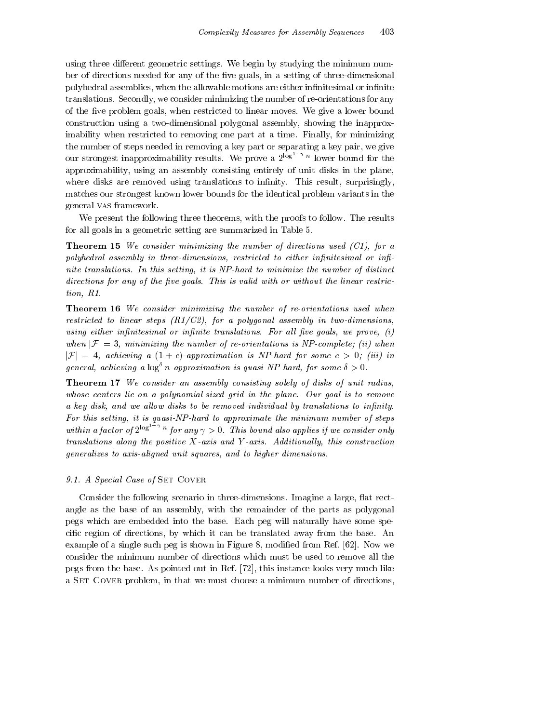using three different geometric settings. We begin by studying the minimum number of directions needed for any of the five goals, in a setting of three-dimensional polyhedral assemblies, when the allowable motions are either infinitesimal or infinite translations. Secondly, we consider minimizing the number of re-orientations for any of the five problem goals, when restricted to linear moves. We give a lower bound construction using a two-dimensional polygonal assembly, showing the inapproximability when restricted to removing one part at a time. Finally, for minimizing the number of steps needed in removing a key part or separating a key pair, we give our strongest inapproximability results. We prove a  $2^{\log^2 n}$  lower bound for the approximability, using an assembly consisting entirely of unit disks in the plane, where disks are removed using translations to infinity. This result, surprisingly, matches our strongest known lower bounds for the identical problem variants in the general vas framework.

We present the following three theorems, with the proofs to follow. The results for all goals in a geometric setting are summarized in Table 5.

**Theorem 15** We consider minimizing the number of directions used  $(C1)$ , for a  $polyhedral$  assembly in three-dimensions, restricted to either infinitesimal or infinite translations. In this setting, it is NP-hard to minimize the number of distinct  $directions$  for any of the five goals. This is valid with or without the linear restriction, R1.

Theorem 16 We consider minimizing the number of re-orientations used when restricted to linear steps  $(R1/C2)$ , for a polygonal assembly in two-dimensions, using either infinitesimal or infinite translations. For all five goals, we prove,  $(i)$ when  $|\mathcal{F}| = 3$ , minimizing the number of re-orientations is NP-complete; (ii) when  $|\mathcal{F}| = 4$ , achieving a  $(1 + c)$ -approximation is NP-hard for some  $c > 0$ ; (iii) in general, achieving a  $\log^{\delta} n$ -approximation is quasi-NP-hard, for some  $\delta > 0$ .

Theorem 17 We consider an assembly consisting solely of disks of unit radius, whose centers lie on a polynomial-sized grid in the plane. Our goal is to remove a key disk, and we allow disks to be removed individual by translations to infinity. For this setting, it is quasi-NP-hard to approximate the minimum number of steps within a factor of  $2^{\log^2 n}$  in for any  $\gamma > 0$ . This bound also applies if we consider only translations along the positive  $X$ -axis and  $Y$ -axis. Additionally, this construction generalizes to axis-aligned unit squares, and to higher dimensions.

### 9.1. A Special Case of SET COVER

Consider the following scenario in three-dimensions. Imagine a large, flat rectangle as the base of an assembly, with the remainder of the parts as polygonal pegs which are embedded into the base. Each peg will naturally have some specific region of directions, by which it can be translated away from the base. An example of a single such peg is shown in Figure 8, modied from Ref. [62]. Now we consider the minimum number of directions which must be used to remove all the pegs from the base. As pointed out in Ref. [72], this instance looks very much like a Set Cover problem, in that we must choose a minimum number of directions,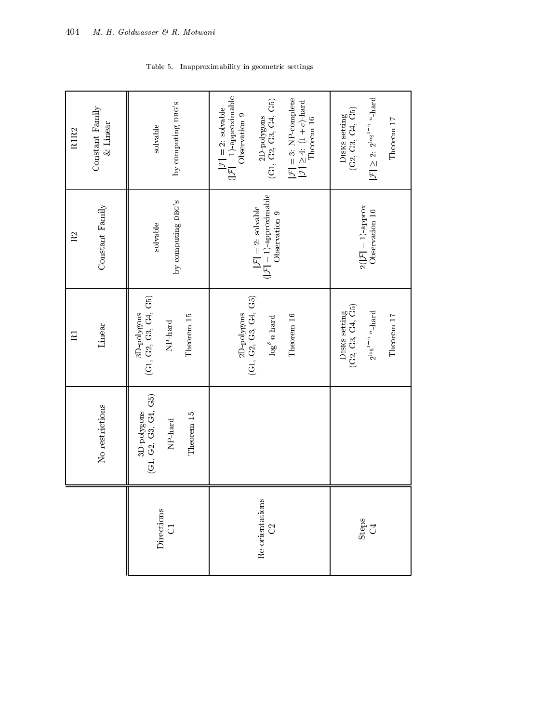| Constant Family<br>$\&$ Linear<br>R1R2 | by computing DBG's<br>solvable                                                 | $( \mathcal{F} -1)$ -approximable<br>$\begin{array}{l}  \mathcal{F}  = 3{:}~\text{NP-complete}\\  \mathcal{F}  \geq 4{:}~(1+c)\text{-hard} \end{array}$<br>$\rm 2D\mbox{-}polygons$ ${\rm (G1,\,G2,\,G3,\,G4,\,G5)}$<br>$ \mathcal{F} =2:$ solvable<br>Observation 9<br>Theorem $16\,$ | $ \mathcal{F}  \geq 2 \colon 2^{\log^{1-\gamma} n}\text{-hard}$<br>(G2, G3, G4, G5)<br>DISKS setting<br>Theorem 17 |
|----------------------------------------|--------------------------------------------------------------------------------|----------------------------------------------------------------------------------------------------------------------------------------------------------------------------------------------------------------------------------------------------------------------------------------|--------------------------------------------------------------------------------------------------------------------|
| Constant Family<br>R2                  | by computing DBG's<br>solvable                                                 | $( \mathcal{F} -1)$ -approximable<br>$ \mathcal{F} =2$ solvable<br>Observation 9                                                                                                                                                                                                       | $2( \mathcal{F} -1)$ -approx<br>Observation 10                                                                     |
| $L$ inear<br>$_{\rm R1}$               | (G1, G2, G3, G4, G5)<br>$3D$ -polygons<br>Theorem 15<br>${\rm NP\text{-}hard}$ | $\rm 2D\text{-}polygons$ $\rm (G1,\,G2,\,G3,\,G4,\,G5)$<br>Theorem 16<br>$\log^\delta n\text{-hard}$                                                                                                                                                                                   | DISKS setting<br>$(G2, G3, G4, G5)$<br>$2^{\log^{1-\gamma}{n}}$ -hard<br>Theorem 17                                |
| No restrictions                        | 3D-polygons<br>(G1, G2, G3, G4, G5)<br>Theorem 15<br>$NP$ -hard                |                                                                                                                                                                                                                                                                                        |                                                                                                                    |
|                                        | $\begin{array}{c} \rm{Directions} \\ \rm{C1} \end{array}$                      | Re-orientations<br>$\mathcal{O}$                                                                                                                                                                                                                                                       | $\frac{\text{Steps}}{\text{C4}}$                                                                                   |

Table 5. Inapproximability in geometric settings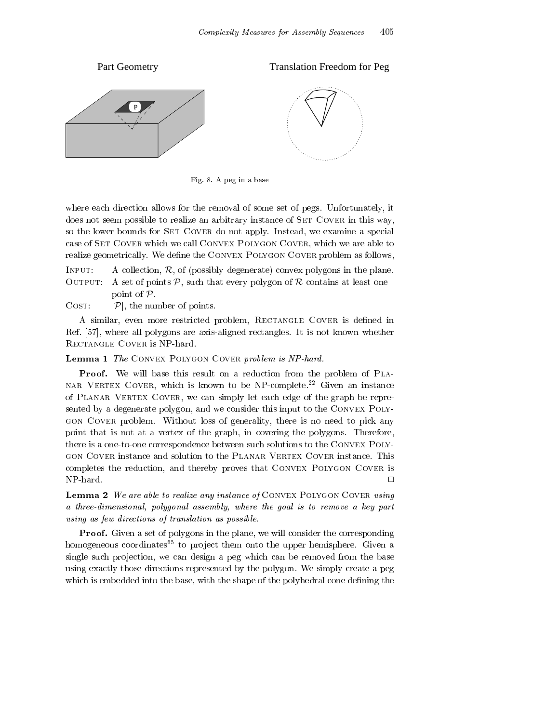

Fig. 8. A peg in a base

where each direction allows for the removal of some set of pegs. Unfortunately, it does not seem possible to realize an arbitrary instance of SET COVER in this way, so the lower bounds for Set Cover do not apply. Instead, we examine a special case of SET COVER which we call CONVEX POLYGON COVER, which we are able to realize geometrically. We define the CONVEX POLYGON COVER problem as follows,

Input:A collection,  $R$ , of (possibly degenerate) convex polygons in the plane. Output:A set of points  $P$ , such that every polygon of  $R$  contains at least one point of P.

Co<sub>st</sub>:  $|\mathcal{P}|$ , the number of points.

A similar, even more restricted problem, RECTANGLE COVER is defined in Ref. [57], where all polygons are axis-aligned rectangles. It is not known whether Rectangle Cover is the second of  $\sim$ 

### Lemma 1 The CONVEX POLYGON COVER problem is NP-hard.

Proof. We will base this result on a reduction from the problem of PLAnar Vertex Cover, which isknown to be NP-complete.22 Given an instance of Planar Vertex Cover, we can simply let each edge of the graph be represented by a degenerate polygon, and we consider this input to the Convex Polygon Cover problem. Without loss of generality, there is no need to problem to provide the top of the complete point that is not at a vertex of the graph, in covering the polygons. Therefore, there is a one-to-one correspondence between such solutions to the Convex Polygon Cover instance and solution to the Planar Vertex Cover instance. This completes the reduction, and thereby proves that Convex Polygon Cover is NP-hard.  $\Box$ 

Lemma 2 We are able to realize any instance of CONVEX POLYGON COVER using a three-dimensional, polygonal assembly, where the goal is to remove a key part using as few directions of translation as possible.

Proof. Given a set of polygons in the plane, we will consider the corresponding homogeneous coordinates<sup>65</sup> to project them onto the upper hemisphere. Given a single such projection, we can design a peg which can be removed from the base using exactly those directions represented by the polygon. We simply create a peg which is embedded into the base, with the shape of the polyhedral cone defining the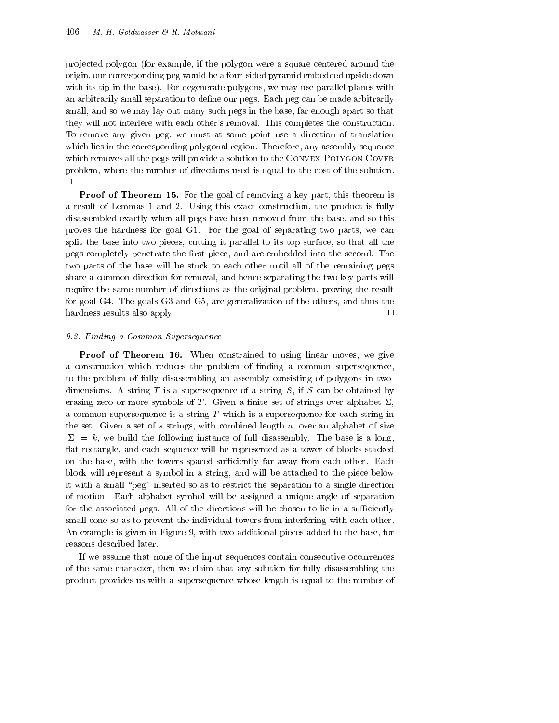pro jected polygon (for example, if the polygon were a square centered around the origin, our corresponding peg would be a four-sided pyramid embedded upside down with its tip in the base). For degenerate polygons, we may use parallel planes with an arbitrarily small separation to define our pegs. Each peg can be made arbitrarily small, and so we may lay out many such pegs in the base, far enough apart so that they will not interfere with each other's removal. This completes the construction. To remove any given peg, we must at some point use a direction of translation which lies in the corresponding polygonal region. Therefore, any assembly sequence which removes all the pegs will provide a solution to the CONVEX POLYGON COVER problem, where the number of directions used is equal to the cost of the solution.  $\Box$ 

Proof of Theorem 15. For the goal of removing a key part, this theorem is a result of Lemmas 1 and 2. Using this exact construction, the product is fully disassembled exactly when all pegs have been removed from the base, and so this proves the hardness for goal G1. For the goal of separating two parts, we can split the base into two pieces, cutting it parallel to its top surface, so that all the pegs completely penetrate the first piece, and are embedded into the second. The two parts of the base will be stuck to each other until all of the remaining pegs share a common direction for removal, and hence separating the two key parts will require the same number of directions as the original problem, proving the result for goal G4. The goals G3 and G5, are generalization of the others, and thus the hardness results also apply.

### 9.2. Finding a Common Supersequence

Proof of Theorem 16. When constrained to using linear moves, we give a construction which reduces the problem of finding a common supersequence, to the problem of fully disassembling an assembly consisting of polygons in twodimensions. A string  $T$  is a supersequence of a string  $S$ , if  $S$  can be obtained by erasing zero or more symbols of T. Given a finite set of strings over alphabet  $\Sigma$ , a common supersequence is a string T which is a supersequence for each string in the set. Given a set of s strings, with combined length  $n$ , over an alphabet of size  $|\Sigma| = k$ , we build the following instance of full disassembly. The base is a long, flat rectangle, and each sequence will be represented as a tower of blocks stacked on the base, with the towers spaced sufficiently far away from each other. Each block will represent a symbol in a string, and will be attached to the piece below it with a small \peg" inserted so as to restrict the separation to a single direction of motion. Each alphabet symbol will be assigned a unique angle of separation for the associated pegs. All of the directions will be chosen to lie in a sufficiently small cone so as to prevent the individual towers from interfering with each other. An example is given in Figure 9, with two additional pieces added to the base, for reasons described later.

If we assume that none of the input sequences contain consecutive occurrences of the same character, then we claim that any solution for fully disassembling the product provides us with a supersequence whose length is equal to the number of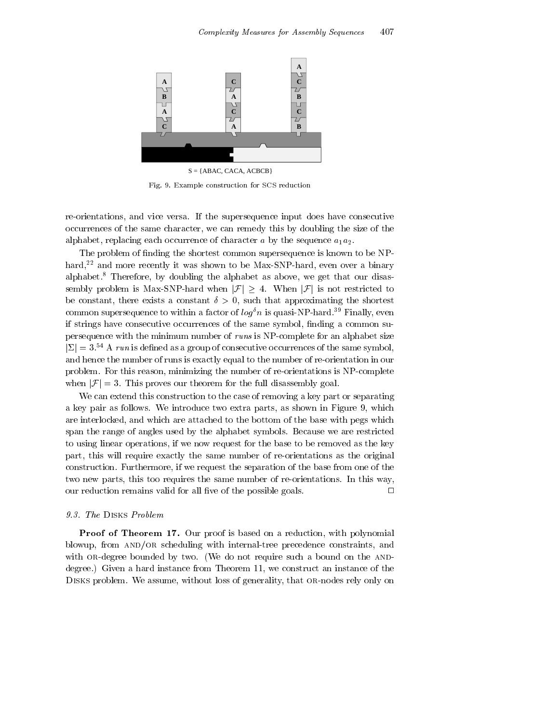

Fig. 9. Example construction for SCS reduction

re-orientations, and vice versa. If the supersequence input does have consecutive occurrences of the same character, we can remedy this by doubling the size of the alphabet, replacing each occurrence of character a by the sequence  $a_1a_2$ .

The problem of finding the shortest common supersequence is known to be NPhard,<sup>22</sup> and more recently it was shown to be Max-SNP-hard, even over a binary alphabet.8 Therefore, by doubling the alphabet as above, we get that our disassembly problem is Max-SNP-hard when  $|\mathcal{F}| \geq 4$ . When  $|\mathcal{F}|$  is not restricted to be constant, there exists a constant  $\delta > 0$ , such that approximating the shortest common supersequence to within a factor of  $\log^\delta n$  is quasi-NP-hard.<sup>39</sup> Finally, even if strings have consecutive occurrences of the same symbol, finding a common supersequence with the minimum number of runs is NP-complete for an alphabet size  $|\Sigma| = 3^{54}$  A run is defined as a group of consecutive occurrences of the same symbol, and hence the number of runs is exactly equal to the number of re-orientation in our problem. For this reason, minimizing the number of re-orientations is NP-complete when  $|\mathcal{F}| = 3$ . This proves our theorem for the full disassembly goal.

We can extend this construction to the case of removing a key part or separating a key pair as follows. We introduce two extra parts, as shown in Figure 9, which are interlocked, and which are attached to the bottom of the base with pegs which span the range of angles used by the alphabet symbols. Because we are restricted to using linear operations, if we now request for the base to be removed as the key part, this will require exactly the same number of re-orientations as the original construction. Furthermore, if we request the separation of the base from one of the two new parts, this too requires the same number of re-orientations. In this way, our reduction remains valid for all five of the possible goals.  $\Box$ 

### 9.3. The Disks Problem

Proof of Theorem 17. Our proof is based on a reduction, with polynomial blowup, from and/or scheduling with internal-tree precedence constraints, and with OR-degree bounded by two. (We do not require such a bound on the ANDdegree.) Given a hard instance from Theorem 11, we construct an instance of the Disks problem. We assume, without loss of generality, that or-nodes rely only on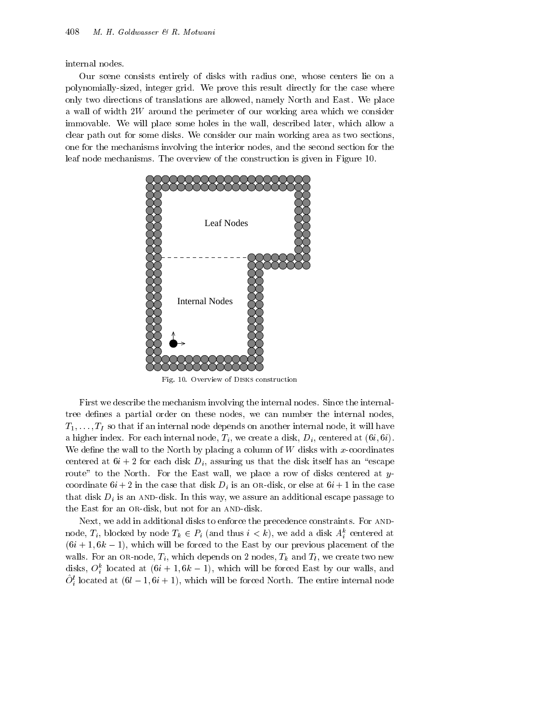internal nodes.

in the company of the company of the company of the company of the company of the company of the company of the

Our scene consists entirely of disks with radius one, whose centers lie on a polynomially-sized, integer grid. We prove this result directly for the case where only two directions of translations are allowed, namely North and East. We place a wall of width 2W around the perimeter of our working area which we consider immovable. We will place some holes in the wall, described later, which allow a clear path out for some disks. We consider our main working area as two sections, one for the mechanisms involving the interior nodes, and the second section for the leaf node mechanisms. The overview of the construction is given in Figure 10.



Fig. 10. Overview of Disks construction

First we describe the mechanism involving the internal nodes. Since the internaltree defines a partial order on these nodes, we can number the internal nodes,  $T_1,\ldots,T_I$  so that if an internal node depends on another internal node, it will have a higher index. For each internal node,  $T_i$ , we create a disk,  $D_i$ , centered at  $(6i, 6i)$ . We define the wall to the North by placing a column of  $W$  disks with x-coordinates centered at  $6i + 2$  for each disk  $D_i$ , assuring us that the disk itself has an "escape route" to the North. For the East wall, we place a row of disks centered at ycoordinate  $6i + 2$  in the case that disk  $D_i$  is an OR-disk, or else at  $6i + 1$  in the case that disk  $D_i$  is an AND-disk. In this way, we assure an additional escape passage to the East for an OR-disk, but not for an AND-disk.

Next, we add in additional disks to enforce the precedence constraints. For ANDhode,  $I_i$ , blocked by hode  $I_k \in F_i$  (and thus  $i \leq \kappa$ ), we add a disk  $A_i$  centered at  $(6i + 1, 6k - 1)$ , which will be forced to the East by our previous placement of the walls. For an OR-node,  $T_i$ , which depends on 2 nodes,  $T_k$  and  $T_l$ , we create two new disks,  $O_i^*$  located at  $(0i+1,0\kappa-1)$ , which will be forced East by our walls, and  $\mathcal{O}^\circ_i$  located at (6l  $-$  1, 6l  $+$  1), which will be forced North. The entire internal node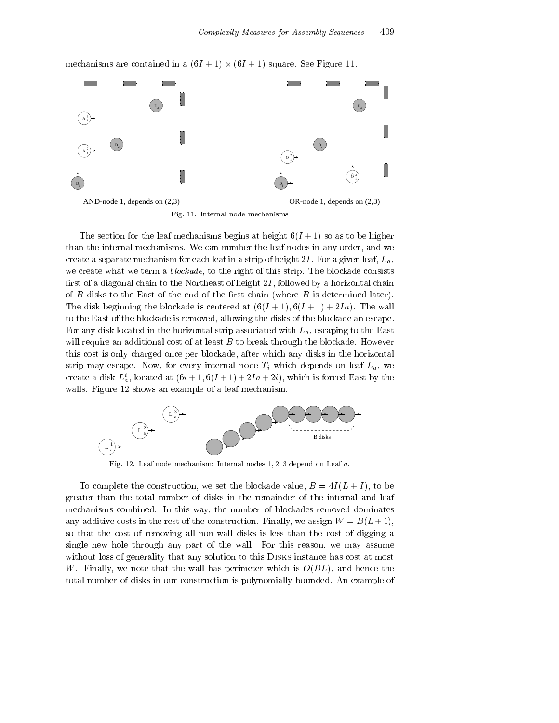mechanisms are contained in a (6I + 1) - (6I + 1) square. See Figure 11.



Fig. 11. Internal node mechanisms

The section for the leaf mechanisms begins at height  $6(I+1)$  so as to be higher than the internal mechanisms. We can number the leaf nodes in any order, and we create a separate mechanism for each leaf in a strip of height 2I. For a given leaf,  $L_a$ , we create what we term a blockade, to the right of this strip. The blockade consists first of a diagonal chain to the Northeast of height  $2I$ , followed by a horizontal chain of  $B$  disks to the East of the end of the first chain (where  $B$  is determined later). The disk beginning the blockade is centered at  $(6(I + 1), 6(I + 1) + 2Ia)$ . The wall to the East of the blockade is removed, allowing the disks of the blockade an escape. For any disk located in the horizontal strip associated with  $L_a$ , escaping to the East will require an additional cost of at least  $B$  to break through the blockade. However this cost is only charged once per blockade, after which any disks in the horizontal strip may escape. Now, for every internal node  $T_i$  which depends on leaf  $L_a$ , we create a disk  $L_a^i$ , located at  $(6i+1, 6(I+1)+2I_a+2i)$ , which is forced East by the walls. Figure 12 shows an example of a leaf mechanism.



Fig. 12. Leaf node mechanism: Internal nodes 1; 2; 3 depend on Leaf a.

To complete the construction, we set the blockade value,  $B = 4I(L + I)$ , to be greater than the total number of disks in the remainder of the internal and leaf mechanisms combined. In this way, the number of blockades removed dominates any additive costs in the rest of the construction. Finally, we assign  $W = B(L+1)$ , so that the cost of removing all non-wall disks is less than the cost of digging a single new hole through any part of the wall. For this reason, we may assume without loss of generality that any solution to this Disks instance has cost at most W. Finally, we note that the wall has perimeter which is  $O(BL)$ , and hence the total number of disks in our construction is polynomially bounded. An example of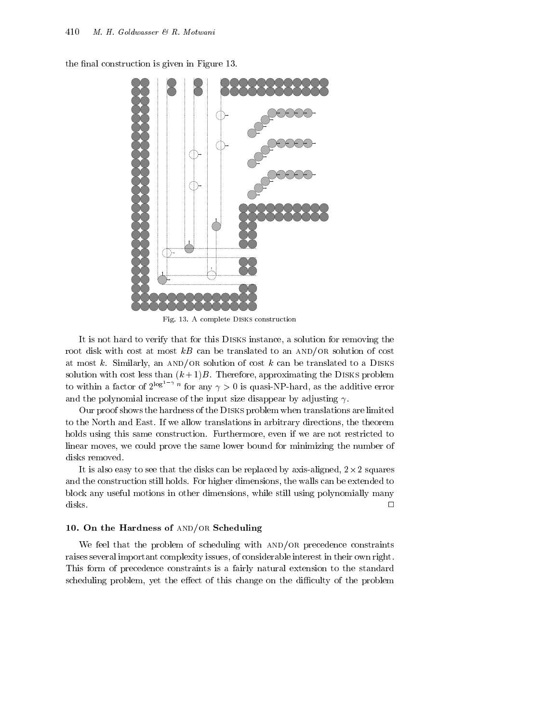the final construction is given in Figure 13.



Fig. 13. A complete Disks construction

It is not hard to verify that for this Disks instance, a solution for removing the root disk with cost at most  $kB$  can be translated to an AND/OR solution of cost at most k. Similarly, an AND/OR solution of cost k can be translated to a DISKS solution with cost less than  $(k+1)B$ . Therefore, approximating the DISKS problem to within a factor of  $2^{\log^2 n}$  for any  $\gamma > 0$  is quasi-NP-hard, as the additive error and the polynomial increase of the input size disappear by adjusting  $\gamma$ .

Our proof shows the hardness of the Disks problem when translations are limited to the North and East. If we allow translations in arbitrary directions, the theorem holds using this same construction. Furthermore, even if we are not restricted to linear moves, we could prove the same lower bound for minimizing the number of disks removed.

It is also easy to see that the disks can be replaced by axis-aligned, 2-2 squares and the construction still holds. For higher dimensions, the walls can be extended to block any useful motions in other dimensions, while still using polynomially many

## 10. On the Hardness of  $AND/OR$  Scheduling

We feel that the problem of scheduling with AND/OR precedence constraints raises several important complexity issues, of considerable interest in their own right. This form of precedence constraints is a fairly natural extension to the standard scheduling problem, yet the effect of this change on the difficulty of the problem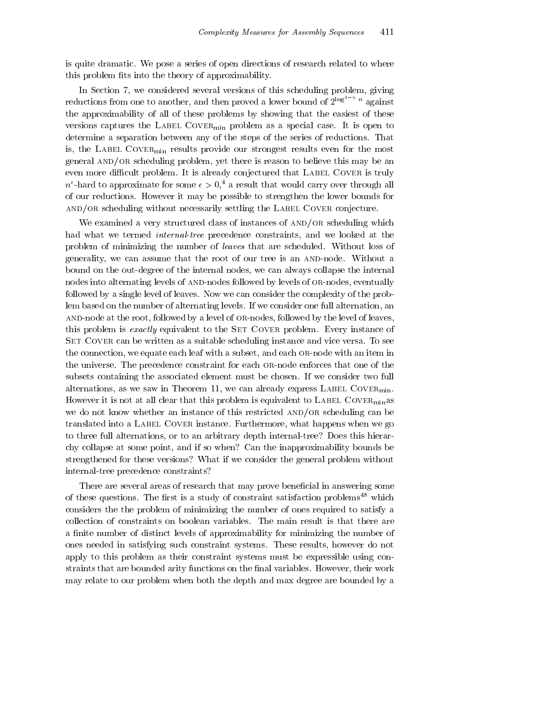is quite dramatic. We pose a series of open directions of research related to where this problem fits into the theory of approximability.

In Section 7, we considered several versions of this scheduling problem, giving reductions from one to another, and then proved a lower bound of  $2^{\log^{1-\gamma} n}$  against the approximability of all of these problems by showing that the easiest of these versions captures the Label Covermin problem as <sup>a</sup> special case. It is open to determine a separation between any of the steps of the series of reductions. That is, the Label Covermin results provide our strongest results even for the most general AND/OR scheduling problem, yet there is reason to believe this may be an even more difficult problem. It is already conjectured that LABEL COVER is truly  $n$ -hard to approximate for some  $\epsilon > 0$ , a result that would carry over through all of our reductions. However it may be possible to strengthen the lower bounds for and/or scheduling without necessarily settling the Label Cover conjecture.

We examined a very structured class of instances of  $AND/OR$  scheduling which had what we termed internal-tree precedence constraints, and we looked at the problem of minimizing the number of leaves that are scheduled. Without loss of generality, we can assume that the root of our tree is an and-node. Without a bound on the out-degree of the internal nodes, we can always collapse the internal nodes into alternating levels of AND-nodes followed by levels of OR-nodes, eventually followed by a single level of leaves. Now we can consider the complexity of the problem based on the number of alternating levels. If we consider one full alternation, an and-node at the root, followed by a level of or-nodes, followed by the level of leaves, this problem is exactly equivalent to the SET COVER problem. Every instance of Set Cover can be written as a suitable scheduling instance and vice versa. To see the connection, we equate each leaf with a subset, and each OR-node with an item in the universe. The precedence constraint for each OR-node enforces that one of the subsets containing the associated element must be chosen. If we consider two full alternations, as we saw in Theorem 11, we can already express LABEL COVER<sub>min</sub>. However it is not at all clear that this problem is equivalent to LABEL COVER $_{\text{min}}$ as we do not know whether an instance of this restricted AND/OR scheduling can be translated into a Label Cover instance. Furthermore, what happens when we go to three full alternations, or to an arbitrary depth internal-tree? Does this hierarchy collapse at some point, and if so when? Can the inapproximability bounds be strengthened for these versions? What if we consider the general problem without internal-tree precedence constraints?

There are several areas of research that may prove beneficial in answering some of these questions. The first is a study of constraint satisfaction problems<sup>48</sup> which considers the the problem of minimizing the number of ones required to satisfy a collection of constraints on boolean variables. The main result is that there are a finite number of distinct levels of approximability for minimizing the number of ones needed in satisfying such constraint systems. These results, however do not apply to this problem as their constraint systems must be expressible using constraints that are bounded arity functions on the final variables. However, their work may relate to our problem when both the depth and max degree are bounded by a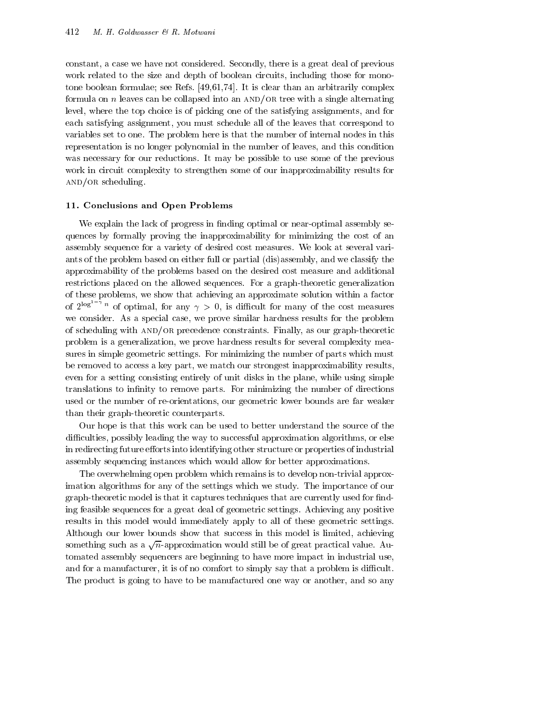constant, a case we have not considered. Secondly, there is a great deal of previous work related to the size and depth of boolean circuits, including those for monotone boolean formulae; see Refs. [49,61,74]. It is clear than an arbitrarily complex formula on  $n$  leaves can be collapsed into an  $AND/OR$  tree with a single alternating level, where the top choice is of picking one of the satisfying assignments, and for each satisfying assignment, you must schedule all of the leaves that correspond to variables set to one. The problem here is that the number of internal nodes in this representation is no longer polynomial in the number of leaves, and this condition was necessary for our reductions. It may be possible to use some of the previous work in circuit complexity to strengthen some of our inapproximability results for and  $\sim$  schedule in the schedule  $\sim$ 

### 11. Conclusions and Open Problems

We explain the lack of progress in finding optimal or near-optimal assembly sequences by formally proving the inapproximability for minimizing the cost of an assembly sequence for a variety of desired cost measures. We look at several variants of the problem based on either full or partial (dis)assembly, and we classify the approximability of the problems based on the desired cost measure and additional restrictions placed on the allowed sequences. For a graph-theoretic generalization of these problems, we show that achieving an approximate solution within a factor of  $2^{\log^{1-\gamma} n}$  of optimal, for any  $\gamma > 0$ , is difficult for many of the cost measures we consider. As a special case, we prove similar hardness results for the problem of scheduling with and/or precedence constraints. Finally, as our graph-theoretic problem is a generalization, we prove hardness results for several complexity measures in simple geometric settings. For minimizing the number of parts which must be removed to access a key part, we match our strongest inapproximability results, even for a setting consisting entirely of unit disks in the plane, while using simple translations to infinity to remove parts. For minimizing the number of directions used or the number of re-orientations, our geometric lower bounds are far weaker than their graph-theoretic counterparts.

Our hope is that this work can be used to better understand the source of the difficulties, possibly leading the way to successful approximation algorithms, or else in redirecting future efforts into identifying other structure or properties of industrial assembly sequencing instances which would allow for better approximations.

The overwhelming open problem which remains is to develop non-trivial approximation algorithms for any of the settings which we study. The importance of our graph-theoretic model is that it captures techniques that are currently used for nding feasible sequences for a great deal of geometric settings. Achieving any positive results in this model would immediately apply to all of these geometric settings. Although our lower bounds show that success in this model is limited, achieving something such as a  $\sqrt{n}$ -approximation would still be of great practical value. Automated assembly sequencers are beginning to have more impact in industrial use, and for a manufacturer, it is of no comfort to simply say that a problem is difficult. The product is going to have to be manufactured one way or another, and so any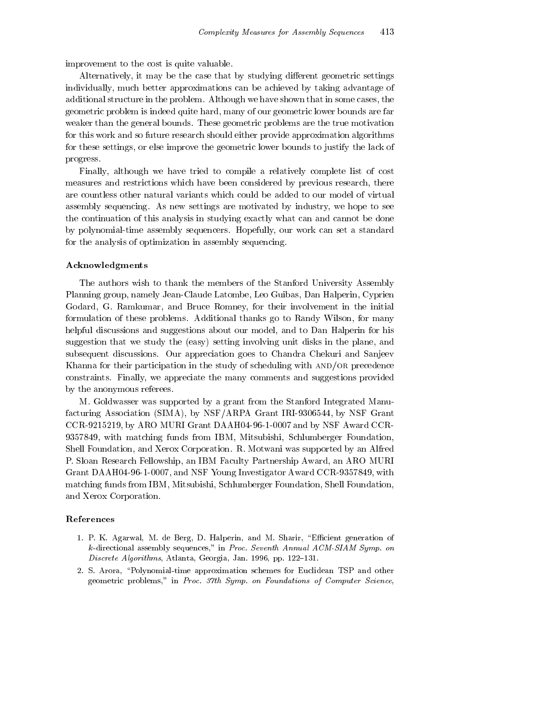improvement to the cost is quite valuable.

Alternatively, it may be the case that by studying different geometric settings individually, much better approximations can be achieved by taking advantage of additional structure in the problem. Although we have shown that in some cases, the geometric problem is indeed quite hard, many of our geometric lower bounds are far weaker than the general bounds. These geometric problems are the true motivation for this work and so future research should either provide approximation algorithms for these settings, or else improve the geometric lower bounds to justify the lack of progress.

Finally, although we have tried to compile a relatively complete list of cost measures and restrictions which have been considered by previous research, there are countless other natural variants which could be added to our model of virtual assembly sequencing. As new settings are motivated by industry, we hope to see the continuation of this analysis in studying exactly what can and cannot be done by polynomial-time assembly sequencers. Hopefully, our work can set a standard for the analysis of optimization in assembly sequencing.

### Acknowledgments

The authors wish to thank the members of the Stanford University Assembly Planning group, namely Jean-Claude Latombe, Leo Guibas, Dan Halperin, Cyprien Godard, G. Ramkumar, and Bruce Romney, for their involvement in the initial formulation of these problems. Additional thanks go to Randy Wilson, for many helpful discussions and suggestions about our model, and to Dan Halperin for his suggestion that we study the (easy) setting involving unit disks in the plane, and subsequent discussions. Our appreciation goes to Chandra Chekuri and Sanjeev Khanna for their participation in the study of scheduling with AND/OR precedence constraints. Finally, we appreciate the many comments and suggestions provided by the anonymous referees.

M. Goldwasser was supported by a grant from the Stanford Integrated Manufacturing Association (SIMA), by NSF/ARPA Grant IRI-9306544, by NSF Grant CCR-9215219, by ARO MURI Grant DAAH04-96-1-0007 and by NSF Award CCR-9357849, with matching funds from IBM, Mitsubishi, Schlumberger Foundation, Shell Foundation, and Xerox Corporation. R. Motwani was supported by an Alfred P. Sloan Research Fellowship, an IBM Faculty Partnership Award, an ARO MURI Grant DAAH04-96-1-0007, and NSF Young Investigator Award CCR-9357849, with matching funds from IBM, Mitsubishi, Schlumberger Foundation, Shell Foundation, and Xerox Corporation.

#### References

- 1. P. K. Agarwal, M. de Berg, D. Halperin, and M. Sharir, "Efficient generation of k-directional assembly sequences," in Proc. Seventh Annual ACM-SIAM Symp. on Discrete Algorithms, Atlanta, Georgia, Jan. 1996, pp. 122-131.
- 2. S. Arora, "Polynomial-time approximation schemes for Euclidean TSP and other geometric problems," in Proc. 37th Symp. on Foundations of Computer Science,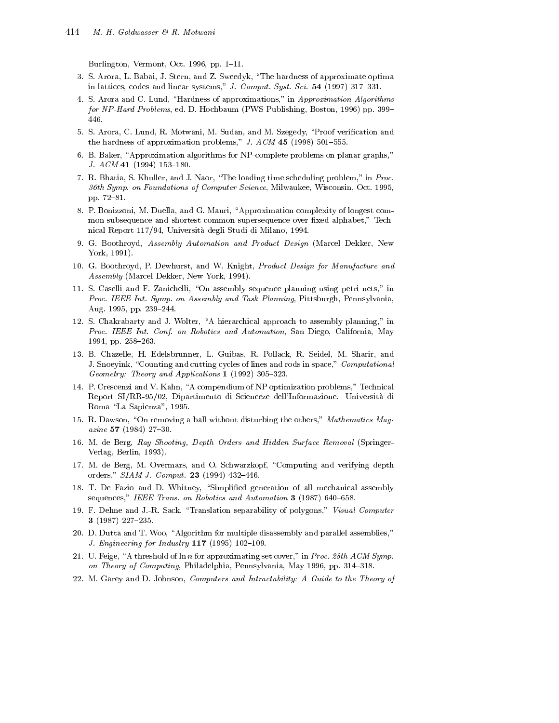Burlington, Vermont, Oct. 1996, pp. 1-11.

- 3. S. Arora, L. Babai, J. Stern, and Z. Sweedyk, \The hardness of approximate optima in lattices, codes and linear systems," J. Comput. Syst. Sci. 54 (1997) 317-331.
- 4. S. Arora and C. Lund, "Hardness of approximations," in Approximation Algorithms for NP-Hard Problems, ed. D. Hochbaum (PWS Publishing, Boston, 1996) pp. 399– 446.
- 5. S. Arora, C. Lund, R. Motwani, M. Sudan, and M. Szegedy, \Proof verication and the hardness of approximation problems," J.  $ACM$  45 (1998) 501–555.
- 6. B. Baker, "Approximation algorithms for NP-complete problems on planar graphs," J.  $ACM$  41 (1994) 153-180.
- 7. R. Bhatia, S. Khuller, and J. Naor, \The loading time scheduling problem," in Proc. 36th Symp. on Foundations of Computer Science, Milwaukee, Wisconsin, Oct. 1995, pp. 72-81.
- 8. P. Bonizzoni, M. Duella, and G. Mauri, "Approximation complexity of longest common subsequence and shortest common supersequence over fixed alphabet," Technical Report 117/94, Universita degli Studi di Milano, 1994.
- 9. G. Boothroyd, Assembly Automation and Product Design (Marcel Dekker, New York, 1991).
- 10. G. Boothroyd, P. Dewhurst, and W. Knight, Product Design for Manufacture and Assembly (Marcel Dekker, New York, 1994).
- 11. S. Caselli and F. Zanichelli, "On assembly sequence planning using petri nets," in Proc. IEEE Int. Symp. on Assembly and Task Planning, Pittsburgh, Pennsylvania, Aug. 1995, pp. 239-244.
- 12. S. Chakrabarty and J. Wolter, "A hierarchical approach to assembly planning," in Proc. IEEE Int. Conf. on Robotics and Automation, San Diego, California, May 1994, pp. 258-263.
- 13. B. Chazelle, H. Edelsbrunner, L. Guibas, R. Pollack, R. Seidel, M. Sharir, and J. Snoeyink, "Counting and cutting cycles of lines and rods in space," Computational Geometry: Theory and Applications  $1$  (1992) 305-323.
- 14. P. Crescenzi and V. Kahn, \A compendium of NP optimization problems," Technical Report SI/RR-95/02, Dipartimento di Scienceze dell'Informazione. Universita di Roma "La Sapienza", 1995.
- 15. R. Dawson, "On removing a ball without disturbing the others," Mathematics Magazine  $57$  (1984) 27-30.
- 16. M. de Berg, Ray Shooting, Depth Orders and Hidden Surface Removal (Springer-Verlag, Berlin, 1993).
- 17. M. de Berg, M. Overmars, and O. Schwarzkopf, "Computing and verifying depth orders,"  $SIAMJ. Comput.$  23 (1994) 432-446.
- 18. T. De Fazio and D. Whitney, "Simplified generation of all mechanical assembly sequences," IEEE Trans. on Robotics and Automation  $3$  (1987) 640-658.
- 19. F. Dehne and J.-R. Sack, "Translation separability of polygons," Visual Computer 3 (1987) 227-235.
- 20. D. Dutta and T. Woo, "Algorithm for multiple disassembly and parallel assemblies," *J. Engineering for Industry*  $117$  (1995) 102-109.
- 21. U. Feige, "A threshold of  $\ln n$  for approximating set cover," in Proc. 28th ACM Symp. on Theory of Computing, Philadelphia, Pennsylvania, May 1996, pp. 314-318.
- 22. M. Garey and D. Johnson, Computers and Intractability: A Guide to the Theory of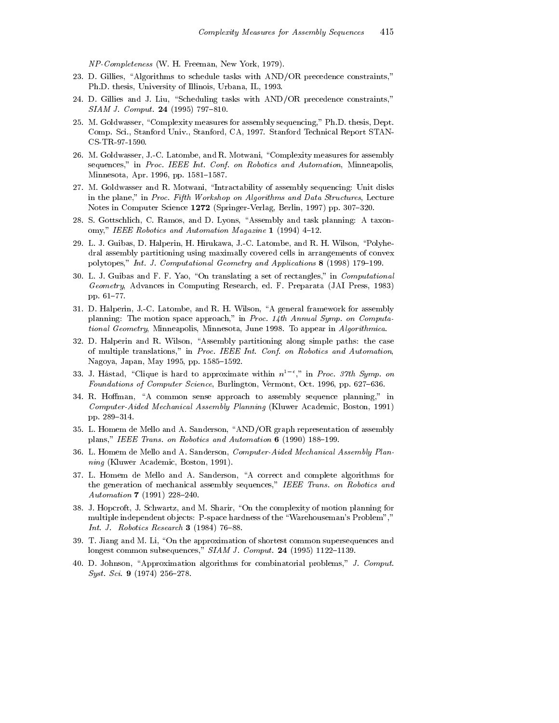NP-Completeness (W. H. Freeman, New York, 1979).

- 23. D. Gillies, "Algorithms to schedule tasks with  $AND/OR$  precedence constraints," Ph.D. thesis, University of Illinois, Urbana, IL, 1993.
- 24. D. Gillies and J. Liu, "Scheduling tasks with AND/OR precedence constraints,"  $SIAM$  J. Comput. 24 (1995) 797-810.
- 25. M. Goldwasser, "Complexity measures for assembly sequencing," Ph.D. thesis, Dept. Comp. Sci., Stanford Univ., Stanford, CA, 1997. Stanford Technical Report STAN-CS-TR-97-1590.
- 26. M. Goldwasser, J.-C. Latombe, and R. Motwani, "Complexity measures for assembly sequences," in Proc. IEEE Int. Conf. on Robotics and Automation, Minneapolis, Minnesota, Apr. 1996, pp. 1581-1587.
- 27. M. Goldwasser and R. Motwani, \Intractability of assembly sequencing: Unit disks in the plane," in Proc. Fifth Workshop on Algorithms and Data Structures, Lecture Notes in Computer Science 1272 (Springer-Verlag, Berlin, 1997) pp. 307-320.
- 28. S. Gottschlich, C. Ramos, and D. Lyons, "Assembly and task planning: A taxonomy," IEEE Robotics and Automation Magazine 1 (1994) 4-12.
- 29. L. J. Guibas, D. Halperin, H. Hirukawa, J.-C. Latombe, and R. H. Wilson, \Polyhedral assembly partitioning using maximally covered cells in arrangements of convex polytopes," Int. J. Computational Geometry and Applications 8 (1998) 179-199.
- 30. L. J. Guibas and F. F. Yao, "On translating a set of rectangles," in Computational Geometry, Advances in Computing Research, ed. F. Preparata (JAI Press, 1983) pp. 61-77.
- 31. D. Halperin, J.-C. Latombe, and R. H. Wilson, \A general framework for assembly planning: The motion space approach," in Proc. 14th Annual Symp. on Computational Geometry, Minneapolis, Minnesota, June 1998. To appear in Algorithmica.
- 32. D. Halperin and R. Wilson, "Assembly partitioning along simple paths: the case of multiple translations," in Proc. IEEE Int. Conf. on Robotics and Automation, Nagoya, Japan, May 1995, pp. 1585-1592.
- 33. J. Hastad, "Clique is hard to approximate within  $n^+$  ," in *Proc. 37th Symp. on* Foundations of Computer Science, Burlington, Vermont, Oct. 1996, pp. 627-636.
- 34. R. Hoffman, "A common sense approach to assembly sequence planning," in Computer-Aided Mechanical Assembly Planning (Kluwer Academic, Boston, 1991) pp. 289-314.
- 35. L. Homem de Mello and A. Sanderson, \AND/OR graph representation of assembly plans," IEEE Trans. on Robotics and Automation 6 (1990) 188-199.
- 36. L. Homem de Mello and A. Sanderson, Computer-Aided Mechanical Assembly Planning (Kluwer Academic, Boston, 1991).
- 37. L. Homem de Mello and A. Sanderson, "A correct and complete algorithms for the generation of mechanical assembly sequences," IEEE Trans. on Robotics and Automation  $7 (1991) 228 - 240$ .
- 38. J. Hopcroft, J. Schwartz, and M. Sharir, "On the complexity of motion planning for multiple independent objects: P-space hardness of the "Warehouseman's Problem"," *Int. J. Robotics Research* **3** (1984) 76-88.
- 39. T. Jiang and M. Li, "On the approximation of shortest common supersequences and longest common subsequences,"  $SIAM$  J. Comput. 24 (1995) 1122-1139.
- 40. D. Johnson, \Approximation algorithms for combinatorial problems," J. Comput.  $Syst. Sci.$  **9** (1974) 256-278.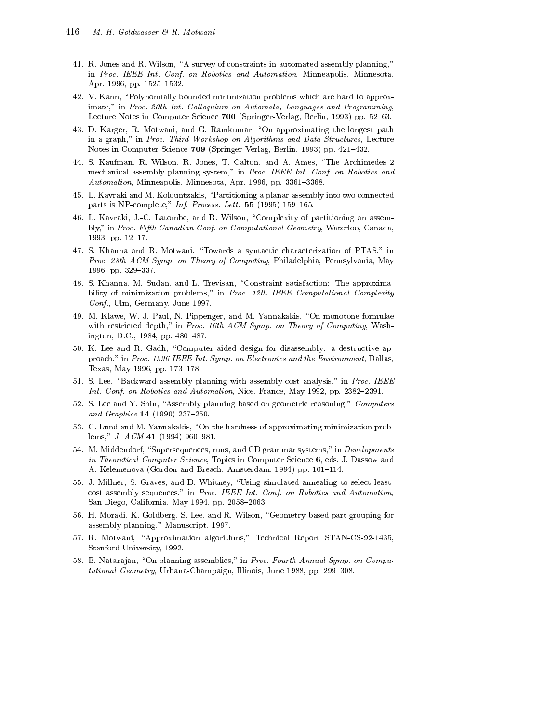- 41. R. Jones and R. Wilson, \A survey of constraints in automated assembly planning," in Proc. IEEE Int. Conf. on Robotics and Automation, Minneapolis, Minnesota, Apr. 1996, pp. 1525-1532.
- 42. V. Kann, "Polynomially bounded minimization problems which are hard to approximate," in Proc. 20th Int. Colloquium on Automata, Languages and Programming, Lecture Notes in Computer Science 700 (Springer-Verlag, Berlin, 1993) pp. 52–63.
- 43. D. Karger, R. Motwani, and G. Ramkumar, "On approximating the longest path in a graph," in Proc. Third Workshop on Algorithms and Data Structures, Lecture Notes in Computer Science 709 (Springer-Verlag, Berlin, 1993) pp. 421-432.
- 44. S. Kaufman, R. Wilson, R. Jones, T. Calton, and A. Ames, \The Archimedes 2 mechanical assembly planning system," in Proc. IEEE Int. Conf. on Robotics and Automation, Minneapolis, Minnesota, Apr. 1996, pp. 3361-3368.
- 45. L. Kavraki and M. Kolountzakis, \Partitioning a planar assembly into two connected parts is NP-complete," Inf. Process. Lett.  $55$  (1995) 159-165.
- 46. L. Kavraki, J.-C. Latombe, and R. Wilson, \Complexity of partitioning an assembly," in Proc. Fifth Canadian Conf. on Computational Geometry, Waterloo, Canada, 1993, pp.  $12-17$ .
- 47. S. Khanna and R. Motwani, "Towards a syntactic characterization of PTAS," in Proc. 28th ACM Symp. on Theory of Computing, Philadelphia, Pennsylvania, May 1996, pp. 329-337.
- 48. S. Khanna, M. Sudan, and L. Trevisan, "Constraint satisfaction: The approximability of minimization problems," in Proc. 12th IEEE Computational Complexity Conf., Ulm, Germany, June 1997.
- 49. M. Klawe, W. J. Paul, N. Pippenger, and M. Yannakakis, "On monotone formulae with restricted depth," in Proc. 16th ACM Symp. on Theory of Computing, Washington, D.C., 1984, pp. 480-487.
- 50. K. Lee and R. Gadh, \Computer aided design for disassembly: a destructive approach," in Proc. 1996 IEEE Int. Symp. on Electronics and the Environment, Dallas, Texas, May 1996, pp. 173-178.
- 51. S. Lee, "Backward assembly planning with assembly cost analysis," in Proc. IEEE Int. Conf. on Robotics and Automation, Nice, France, May 1992, pp. 2382-2391.
- 52. S. Lee and Y. Shin, "Assembly planning based on geometric reasoning," Computers and Graphics  $14$  (1990) 237-250.
- 53. C. Lund and M. Yannakakis, "On the hardness of approximating minimization problems," J. ACM 41 (1994) 960-981.
- 54. M. Middendorf, "Supersequences, runs, and CD grammar systems," in Developments in Theoretical Computer Science, Topics in Computer Science 6, eds. J. Dassow and A. Kelemenova (Gordon and Breach, Amsterdam, 1994) pp. 101–114.
- 55. J. Millner, S. Graves, and D. Whitney, \Using simulated annealing to select leastcost assembly sequences," in Proc. IEEE Int. Conf. on Robotics and Automation, San Diego, California, May 1994, pp. 2058-2063.
- 56. H. Moradi, K. Goldberg, S. Lee, and R. Wilson, \Geometry-based part grouping for assembly planning," Manuscript, 1997.
- 57. R. Motwani, \Approximation algorithms," Technical Report STAN-CS-92-1435, Stanford University, 1992.
- 58. B. Natarajan, "On planning assemblies," in Proc. Fourth Annual Symp. on Computational Geometry, Urbana-Champaign, Illinois, June 1988, pp. 299-308.